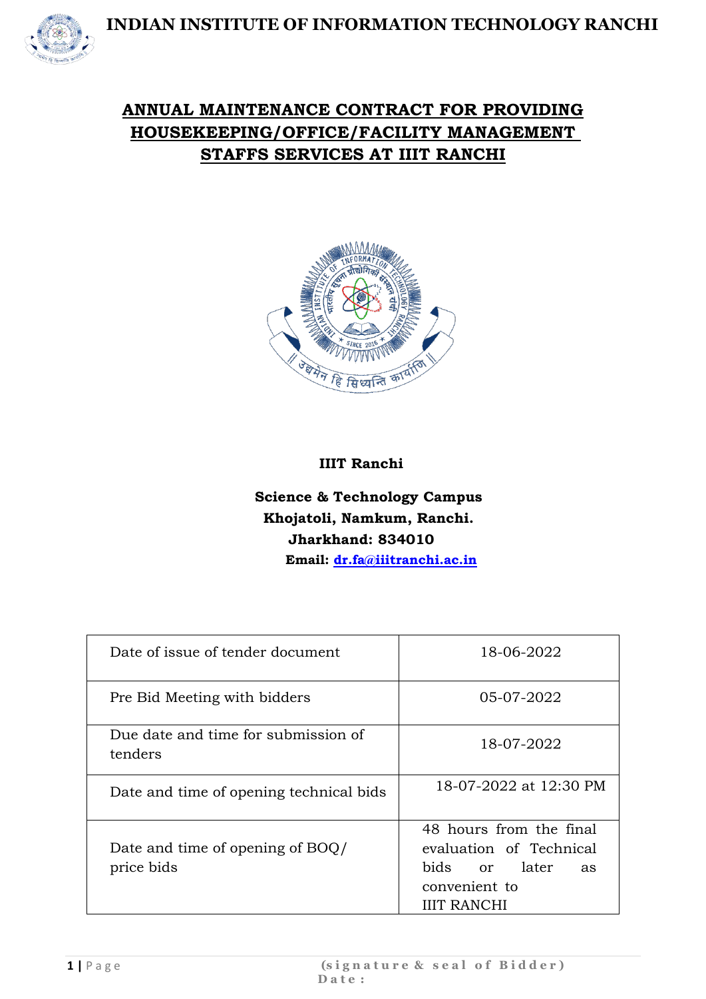

### **ANNUAL MAINTENANCE CONTRACT FOR PROVIDING HOUSEKEEPING/OFFICE/FACILITY MANAGEMENT STAFFS SERVICES AT IIIT RANCHI**



#### **IIIT Ranchi**

#### **Science & Technology Campus Khojatoli, Namkum, Ranchi. Jharkhand: 834010 Email: [dr.fa@iiitranchi.ac.in](mailto:dr.fa@iiitranchi.ac.in)**

| Date of issue of tender document               | 18-06-2022                                                                                                       |
|------------------------------------------------|------------------------------------------------------------------------------------------------------------------|
| Pre Bid Meeting with bidders                   | 05-07-2022                                                                                                       |
| Due date and time for submission of<br>tenders | 18-07-2022                                                                                                       |
| Date and time of opening technical bids        | 18-07-2022 at 12:30 PM                                                                                           |
| Date and time of opening of BOQ/<br>price bids | 48 hours from the final<br>evaluation of Technical<br>bids or later<br>as<br>convenient to<br><b>IIIT RANCHI</b> |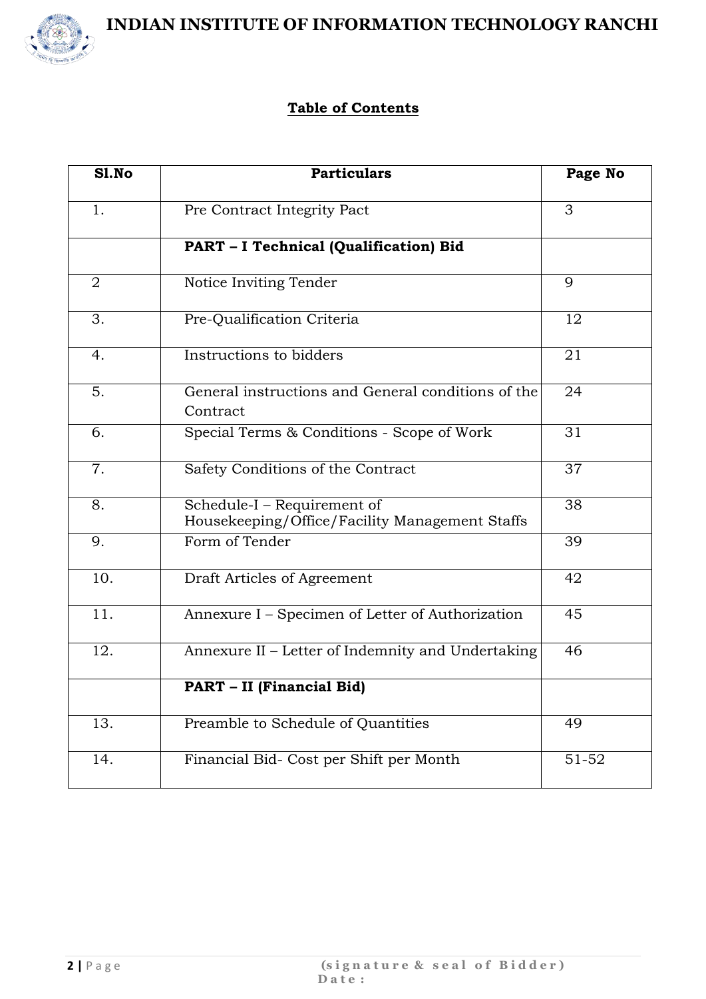

#### **Table of Contents**

| S1.No             | <b>Particulars</b>                                                            | Page No   |
|-------------------|-------------------------------------------------------------------------------|-----------|
| 1.                | Pre Contract Integrity Pact                                                   | 3         |
|                   | PART - I Technical (Qualification) Bid                                        |           |
| $\overline{2}$    | Notice Inviting Tender                                                        | 9         |
| 3.                | Pre-Qualification Criteria                                                    | 12        |
| 4.                | Instructions to bidders                                                       | 21        |
| 5.                | General instructions and General conditions of the<br>Contract                | 24        |
| 6.                | Special Terms & Conditions - Scope of Work                                    | 31        |
| 7.                | Safety Conditions of the Contract                                             | 37        |
| 8.                | Schedule-I - Requirement of<br>Housekeeping/Office/Facility Management Staffs | 38        |
| 9.                | Form of Tender                                                                | 39        |
| 10.               | Draft Articles of Agreement                                                   | 42        |
| 11.               | Annexure I - Specimen of Letter of Authorization                              | 45        |
| 12.               | Annexure II - Letter of Indemnity and Undertaking                             | 46        |
|                   | PART - II (Financial Bid)                                                     |           |
| $\overline{13}$ . | Preamble to Schedule of Quantities                                            | 49        |
| 14.               | Financial Bid- Cost per Shift per Month                                       | $51 - 52$ |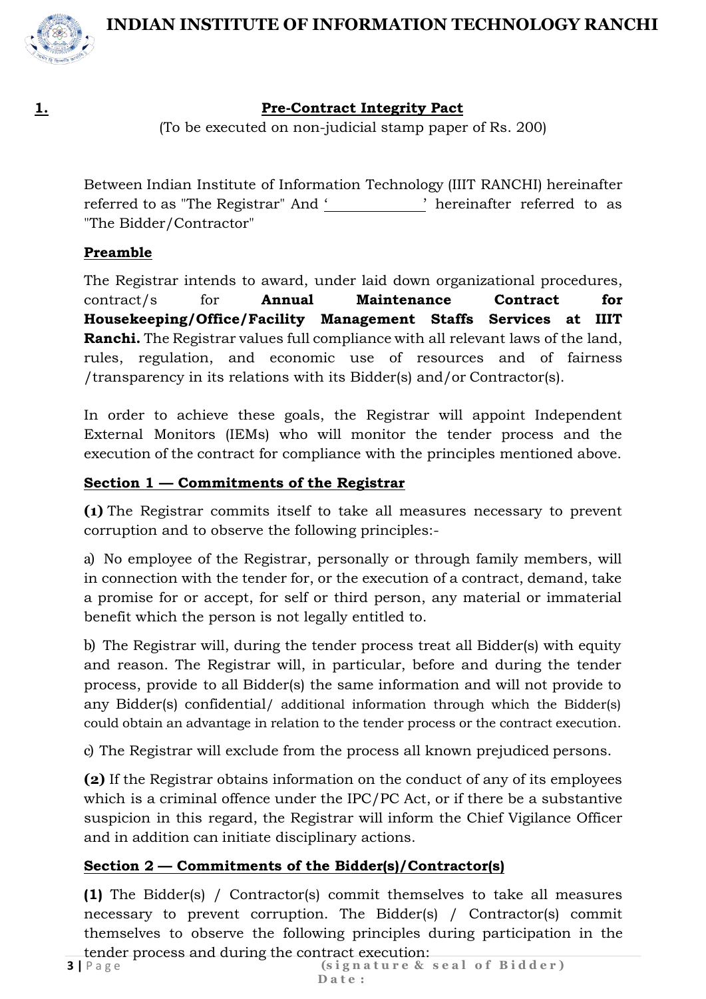

#### **1. Pre-Contract Integrity Pact**

(To be executed on non-judicial stamp paper of Rs. 200)

Between Indian Institute of Information Technology (IIIT RANCHI) hereinafter referred to as "The Registrar" And ' ' hereinafter referred to as "The Bidder/Contractor"

#### **Preamble**

The Registrar intends to award, under laid down organizational procedures, contract/s for **Annual Maintenance Contract for Housekeeping/Office/Facility Management Staffs Services at IIIT Ranchi.** The Registrar values full compliance with all relevant laws of the land, rules, regulation, and economic use of resources and of fairness /transparency in its relations with its Bidder(s) and/or Contractor(s).

In order to achieve these goals, the Registrar will appoint Independent External Monitors (IEMs) who will monitor the tender process and the execution of the contract for compliance with the principles mentioned above.

#### **Section 1 — Commitments of the Registrar**

**(1)** The Registrar commits itself to take all measures necessary to prevent corruption and to observe the following principles:-

a) No employee of the Registrar, personally or through family members, will in connection with the tender for, or the execution of a contract, demand, take a promise for or accept, for self or third person, any material or immaterial benefit which the person is not legally entitled to.

b) The Registrar will, during the tender process treat all Bidder(s) with equity and reason. The Registrar will, in particular, before and during the tender process, provide to all Bidder(s) the same information and will not provide to any Bidder(s) confidential/ additional information through which the Bidder(s) could obtain an advantage in relation to the tender process or the contract execution.

c) The Registrar will exclude from the process all known prejudiced persons.

**(2)** If the Registrar obtains information on the conduct of any of its employees which is a criminal offence under the IPC/PC Act, or if there be a substantive suspicion in this regard, the Registrar will inform the Chief Vigilance Officer and in addition can initiate disciplinary actions.

#### **Section 2 — Commitments of the Bidder(s)/Contractor(s)**

**(1)** The Bidder(s) / Contractor(s) commit themselves to take all measures necessary to prevent corruption. The Bidder(s) / Contractor(s) commit themselves to observe the following principles during participation in the tender process and during the contract execution: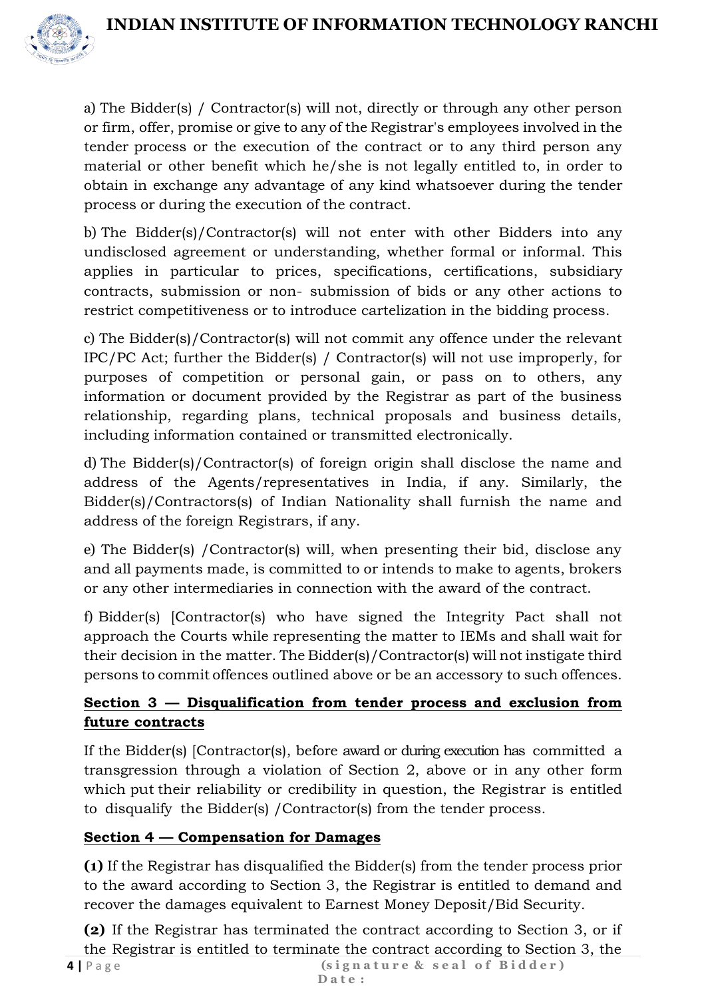

a) The Bidder(s) / Contractor(s) will not, directly or through any other person or firm, offer, promise or give to any of the Registrar's employees involved in the tender process or the execution of the contract or to any third person any material or other benefit which he/she is not legally entitled to, in order to obtain in exchange any advantage of any kind whatsoever during the tender process or during the execution of the contract.

b) The Bidder(s)/Contractor(s) will not enter with other Bidders into any undisclosed agreement or understanding, whether formal or informal. This applies in particular to prices, specifications, certifications, subsidiary contracts, submission or non- submission of bids or any other actions to restrict competitiveness or to introduce cartelization in the bidding process.

c) The Bidder(s)/Contractor(s) will not commit any offence under the relevant IPC/PC Act; further the Bidder(s) / Contractor(s) will not use improperly, for purposes of competition or personal gain, or pass on to others, any information or document provided by the Registrar as part of the business relationship, regarding plans, technical proposals and business details, including information contained or transmitted electronically.

d) The Bidder(s)/Contractor(s) of foreign origin shall disclose the name and address of the Agents/representatives in India, if any. Similarly, the Bidder(s)/Contractors(s) of Indian Nationality shall furnish the name and address of the foreign Registrars, if any.

e) The Bidder(s) /Contractor(s) will, when presenting their bid, disclose any and all payments made, is committed to or intends to make to agents, brokers or any other intermediaries in connection with the award of the contract.

f) Bidder(s) [Contractor(s) who have signed the Integrity Pact shall not approach the Courts while representing the matter to IEMs and shall wait for their decision in the matter. The Bidder(s)/Contractor(s) will not instigate third persons to commit offences outlined above or be an accessory to such offences.

#### **Section 3 — Disqualification from tender process and exclusion from future contracts**

If the Bidder(s) [Contractor(s), before award or during execution has committed a transgression through a violation of Section 2, above or in any other form which put their reliability or credibility in question, the Registrar is entitled to disqualify the Bidder(s) /Contractor(s) from the tender process.

#### **Section 4 — Compensation for Damages**

**(1)** If the Registrar has disqualified the Bidder(s) from the tender process prior to the award according to Section 3, the Registrar is entitled to demand and recover the damages equivalent to Earnest Money Deposit/Bid Security.

(signature & seal of Bidder) **4 |** P a g e **(2)** If the Registrar has terminated the contract according to Section 3, or if the Registrar is entitled to terminate the contract according to Section 3, the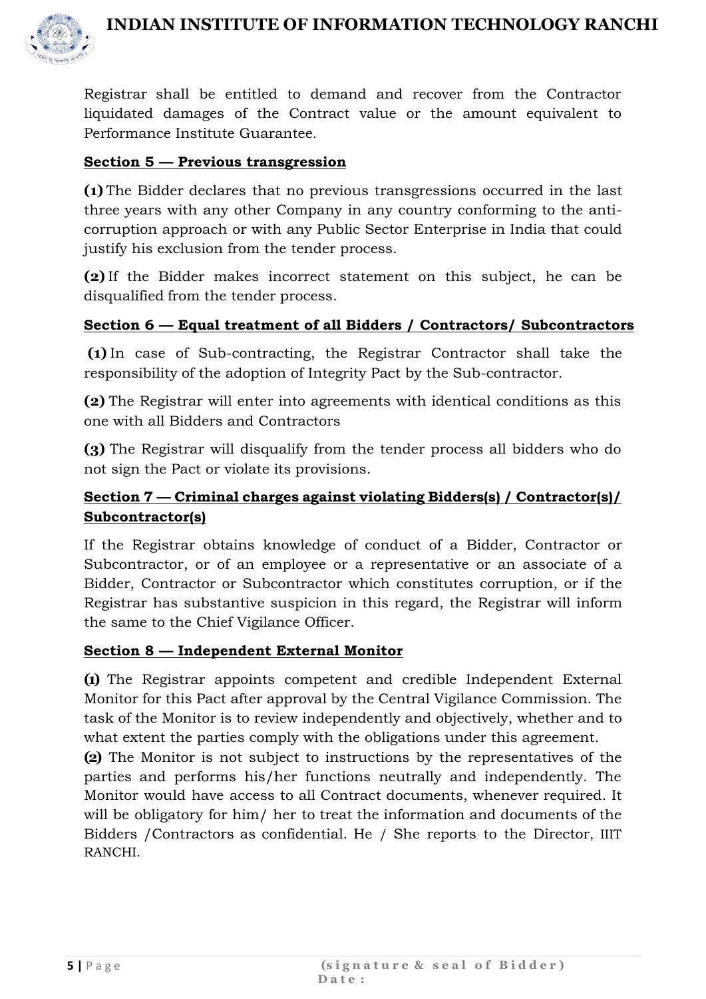

Registrar shall be entitled to demand and recover from the Contractor liquidated damages of the Contract value or the amount equivalent to Performance Institute Guarantee.

#### **Section 5 — Previous transgression**

**(1)** The Bidder declares that no previous transgressions occurred in the last three years with any other Company in any country conforming to the anticorruption approach or with any Public Sector Enterprise in India that could justify his exclusion from the tender process.

**(2)** If the Bidder makes incorrect statement on this subject, he can be disqualified from the tender process.

#### **Section 6 — Equal treatment of all Bidders / Contractors/ Subcontractors**

**(1)** In case of Sub-contracting, the Registrar Contractor shall take the responsibility of the adoption of Integrity Pact by the Sub-contractor.

**(2)** The Registrar will enter into agreements with identical conditions as this one with all Bidders and Contractors

**(3)** The Registrar will disqualify from the tender process all bidders who do not sign the Pact or violate its provisions.

#### **Section 7 — Criminal charges against violating Bidders(s) / Contractor(s)/ Subcontractor(s)**

If the Registrar obtains knowledge of conduct of a Bidder, Contractor or Subcontractor, or of an employee or a representative or an associate of a Bidder, Contractor or Subcontractor which constitutes corruption, or if the Registrar has substantive suspicion in this regard, the Registrar will inform the same to the Chief Vigilance Officer.

#### **Section 8 — Independent External Monitor**

**(1)** The Registrar appoints competent and credible Independent External Monitor for this Pact after approval by the Central Vigilance Commission. The task of the Monitor is to review independently and objectively, whether and to what extent the parties comply with the obligations under this agreement.

**(2)** The Monitor is not subject to instructions by the representatives of the parties and performs his/her functions neutrally and independently. The Monitor would have access to all Contract documents, whenever required. It will be obligatory for him/ her to treat the information and documents of the Bidders /Contractors as confidential. He / She reports to the Director, IIIT RANCHI.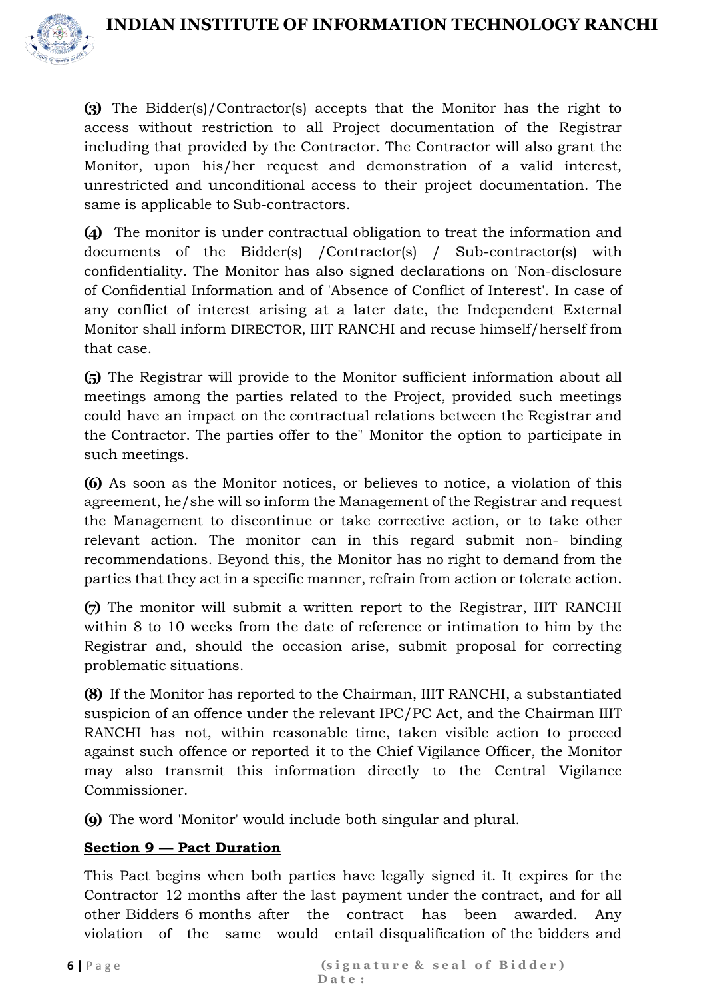

**(3)** The Bidder(s)/Contractor(s) accepts that the Monitor has the right to access without restriction to all Project documentation of the Registrar including that provided by the Contractor. The Contractor will also grant the Monitor, upon his/her request and demonstration of a valid interest, unrestricted and unconditional access to their project documentation. The same is applicable to Sub-contractors.

**(4)** The monitor is under contractual obligation to treat the information and documents of the Bidder(s) /Contractor(s) / Sub-contractor(s) with confidentiality. The Monitor has also signed declarations on 'Non-disclosure of Confidential Information and of 'Absence of Conflict of Interest'. In case of any conflict of interest arising at a later date, the Independent External Monitor shall inform DIRECTOR, IIIT RANCHI and recuse himself/herself from that case.

**(5)** The Registrar will provide to the Monitor sufficient information about all meetings among the parties related to the Project, provided such meetings could have an impact on the contractual relations between the Registrar and the Contractor. The parties offer to the" Monitor the option to participate in such meetings.

**(6)** As soon as the Monitor notices, or believes to notice, a violation of this agreement, he/she will so inform the Management of the Registrar and request the Management to discontinue or take corrective action, or to take other relevant action. The monitor can in this regard submit non- binding recommendations. Beyond this, the Monitor has no right to demand from the parties that they act in a specific manner, refrain from action or tolerate action.

**(7)** The monitor will submit a written report to the Registrar, IIIT RANCHI within 8 to 10 weeks from the date of reference or intimation to him by the Registrar and, should the occasion arise, submit proposal for correcting problematic situations.

**(8)** If the Monitor has reported to the Chairman, IIIT RANCHI, a substantiated suspicion of an offence under the relevant IPC/PC Act, and the Chairman IIIT RANCHI has not, within reasonable time, taken visible action to proceed against such offence or reported it to the Chief Vigilance Officer, the Monitor may also transmit this information directly to the Central Vigilance Commissioner.

**(9)** The word 'Monitor' would include both singular and plural.

#### **Section 9 — Pact Duration**

This Pact begins when both parties have legally signed it. It expires for the Contractor 12 months after the last payment under the contract, and for all other Bidders 6 months after the contract has been awarded. Any violation of the same would entail disqualification of the bidders and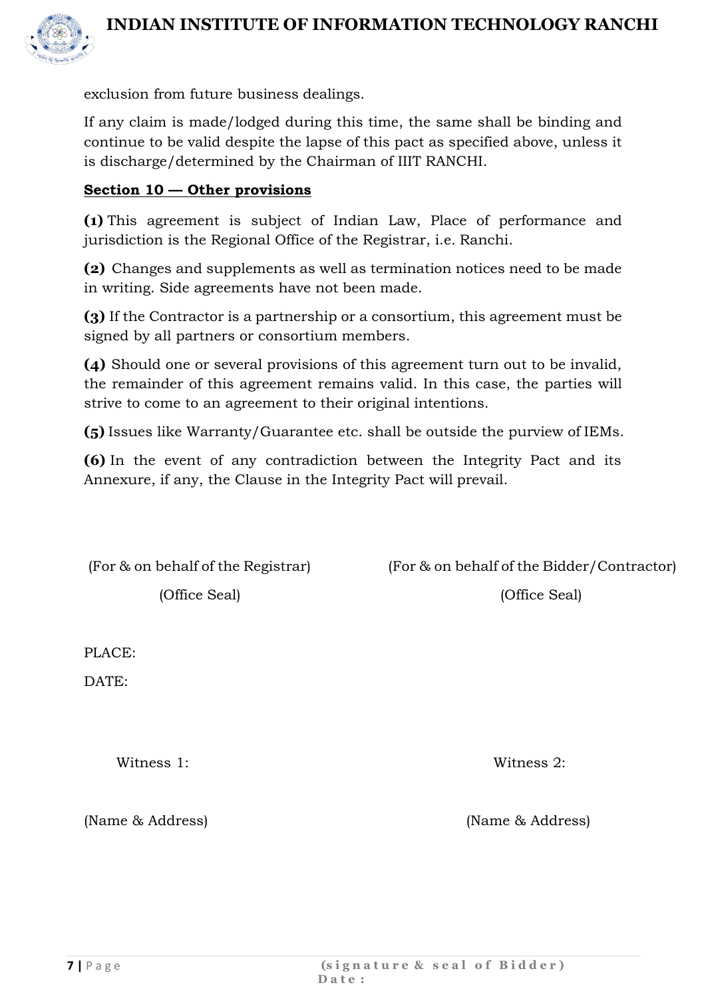

exclusion from future business dealings.

If any claim is made/lodged during this time, the same shall be binding and continue to be valid despite the lapse of this pact as specified above, unless it is discharge/determined by the Chairman of IIIT RANCHI.

#### **Section 10 — Other provisions**

**(1)** This agreement is subject of Indian Law, Place of performance and jurisdiction is the Regional Office of the Registrar, i.e. Ranchi.

**(2)** Changes and supplements as well as termination notices need to be made in writing. Side agreements have not been made.

**(3)** If the Contractor is a partnership or a consortium, this agreement must be signed by all partners or consortium members.

**(4)** Should one or several provisions of this agreement turn out to be invalid, the remainder of this agreement remains valid. In this case, the parties will strive to come to an agreement to their original intentions.

**(5)** Issues like Warranty/Guarantee etc. shall be outside the purview of IEMs.

**(6)** In the event of any contradiction between the Integrity Pact and its Annexure, if any, the Clause in the Integrity Pact will prevail.

(For & on behalf of the Registrar) (For & on behalf of the Bidder/Contractor)

(Office Seal) (Office Seal)

PLACE:

DATE:

Witness 1: Witness 2:

(Name & Address) (Name & Address)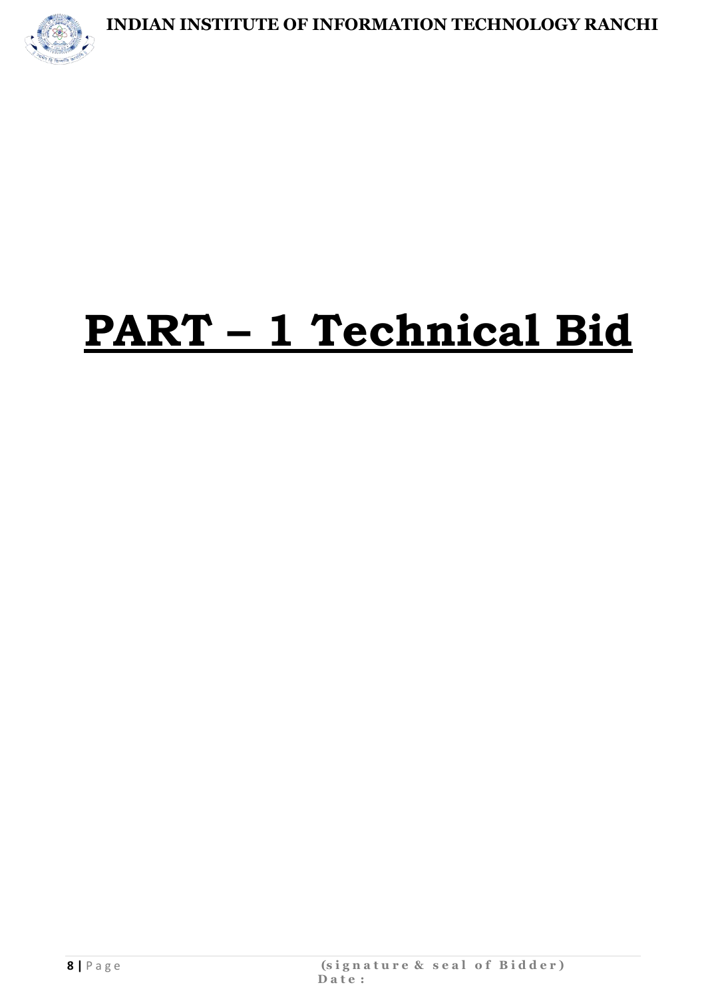

# **PART – 1 Technical Bid**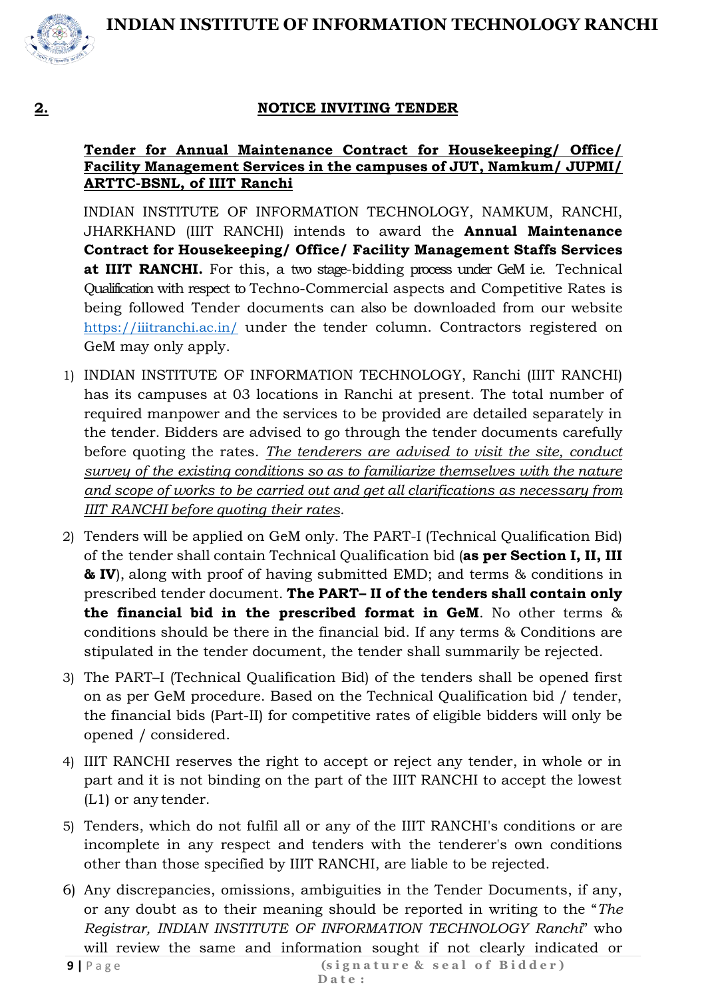

#### **2. NOTICE INVITING TENDER**

#### **Tender for Annual Maintenance Contract for Housekeeping/ Office/ Facility Management Services in the campuses of JUT, Namkum/ JUPMI/ ARTTC-BSNL, of IIIT Ranchi**

INDIAN INSTITUTE OF INFORMATION TECHNOLOGY, NAMKUM, RANCHI, JHARKHAND (IIIT RANCHI) intends to award the **Annual Maintenance Contract for Housekeeping/ Office/ Facility Management Staffs Services at IIIT RANCHI.** For this, a two stage-bidding process under GeM i.e. Technical Qualification with respect to Techno-Commercial aspects and Competitive Rates is being followed Tender documents can also be downloaded from our website <https://iiitranchi.ac.in/> under the tender column. Contractors registered on GeM may only apply.

- 1) INDIAN INSTITUTE OF INFORMATION TECHNOLOGY, Ranchi (IIIT RANCHI) has its campuses at 03 locations in Ranchi at present. The total number of required manpower and the services to be provided are detailed separately in the tender. Bidders are advised to go through the tender documents carefully before quoting the rates. *The tenderers are advised to visit the site, conduct survey of the existing conditions so as to familiarize themselves with the nature and scope of works to be carried out and get all clarifications as necessary from IIIT RANCHI before quoting their rates*.
- 2) Tenders will be applied on GeM only. The PART-I (Technical Qualification Bid) of the tender shall contain Technical Qualification bid (**as per Section I, II, III & IV**), along with proof of having submitted EMD; and terms & conditions in prescribed tender document. **The PART– II of the tenders shall contain only the financial bid in the prescribed format in GeM**. No other terms & conditions should be there in the financial bid. If any terms & Conditions are stipulated in the tender document, the tender shall summarily be rejected.
- 3) The PART–I (Technical Qualification Bid) of the tenders shall be opened first on as per GeM procedure. Based on the Technical Qualification bid / tender, the financial bids (Part-II) for competitive rates of eligible bidders will only be opened / considered.
- 4) IIIT RANCHI reserves the right to accept or reject any tender, in whole or in part and it is not binding on the part of the IIIT RANCHI to accept the lowest (L1) or any tender.
- 5) Tenders, which do not fulfil all or any of the IIIT RANCHI's conditions or are incomplete in any respect and tenders with the tenderer's own conditions other than those specified by IIIT RANCHI, are liable to be rejected.
- 6) Any discrepancies, omissions, ambiguities in the Tender Documents, if any, or any doubt as to their meaning should be reported in writing to the "*The Registrar, INDIAN INSTITUTE OF INFORMATION TECHNOLOGY Ranchi*" who will review the same and information sought if not clearly indicated or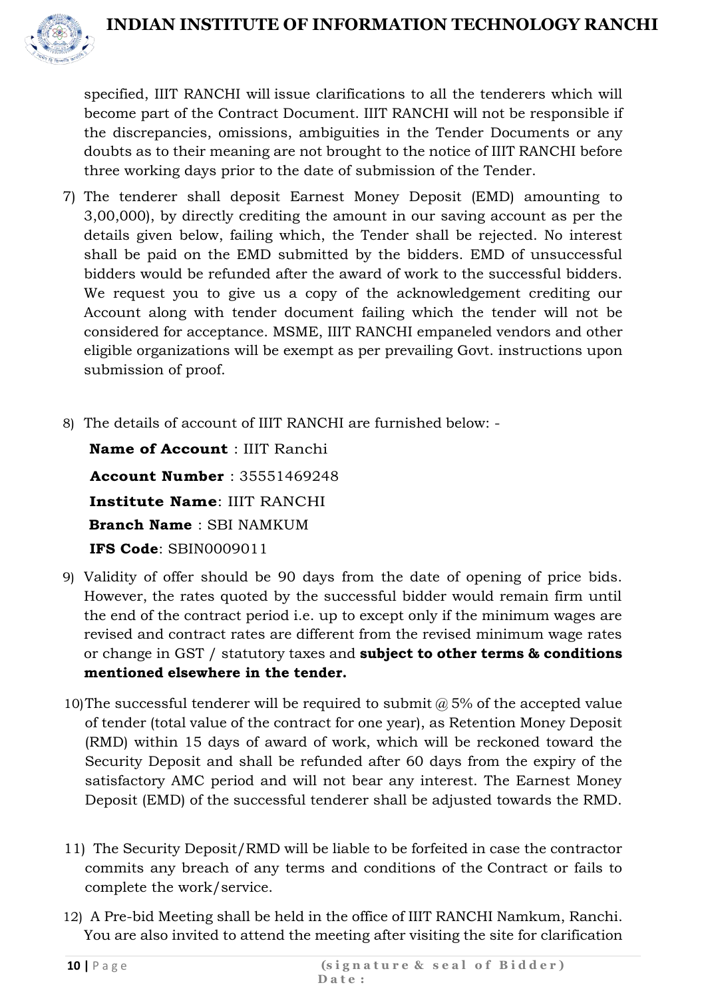

specified, IIIT RANCHI will issue clarifications to all the tenderers which will become part of the Contract Document. IIIT RANCHI will not be responsible if the discrepancies, omissions, ambiguities in the Tender Documents or any doubts as to their meaning are not brought to the notice of IIIT RANCHI before three working days prior to the date of submission of the Tender.

- 7) The tenderer shall deposit Earnest Money Deposit (EMD) amounting to 3,00,000), by directly crediting the amount in our saving account as per the details given below, failing which, the Tender shall be rejected. No interest shall be paid on the EMD submitted by the bidders. EMD of unsuccessful bidders would be refunded after the award of work to the successful bidders. We request you to give us a copy of the acknowledgement crediting our Account along with tender document failing which the tender will not be considered for acceptance. MSME, IIIT RANCHI empaneled vendors and other eligible organizations will be exempt as per prevailing Govt. instructions upon submission of proof.
- 8) The details of account of IIIT RANCHI are furnished below: -

**Name of Account** : IIIT Ranchi **Account Number** : 35551469248 **Institute Name**: IIIT RANCHI **Branch Name** : SBI NAMKUM **IFS Code**: SBIN0009011

- 9) Validity of offer should be 90 days from the date of opening of price bids. However, the rates quoted by the successful bidder would remain firm until the end of the contract period i.e. up to except only if the minimum wages are revised and contract rates are different from the revised minimum wage rates or change in GST / statutory taxes and **subject to other terms & conditions mentioned elsewhere in the tender.**
- 10)The successful tenderer will be required to submit  $\omega$  5% of the accepted value of tender (total value of the contract for one year), as Retention Money Deposit (RMD) within 15 days of award of work, which will be reckoned toward the Security Deposit and shall be refunded after 60 days from the expiry of the satisfactory AMC period and will not bear any interest. The Earnest Money Deposit (EMD) of the successful tenderer shall be adjusted towards the RMD.
- 11) The Security Deposit/RMD will be liable to be forfeited in case the contractor commits any breach of any terms and conditions of the Contract or fails to complete the work/service.
- 12) A Pre-bid Meeting shall be held in the office of IIIT RANCHI Namkum, Ranchi. You are also invited to attend the meeting after visiting the site for clarification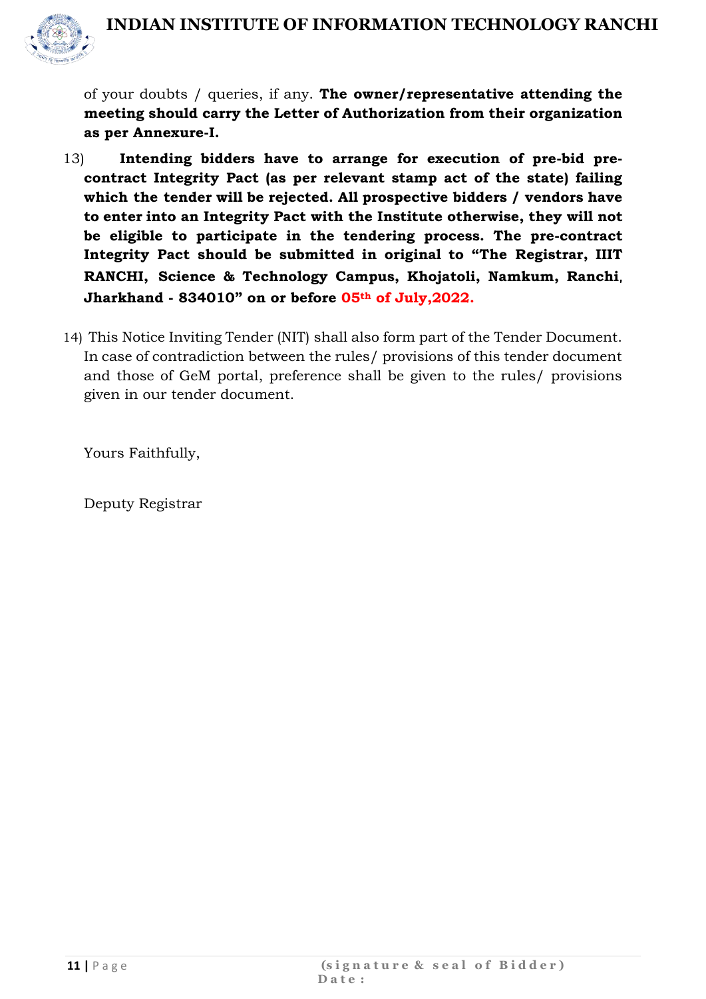

of your doubts / queries, if any. **The owner/representative attending the meeting should carry the Letter of Authorization from their organization as per Annexure-I.**

- 13) **Intending bidders have to arrange for execution of pre-bid precontract Integrity Pact (as per relevant stamp act of the state) failing which the tender will be rejected. All prospective bidders / vendors have to enter into an Integrity Pact with the Institute otherwise, they will not be eligible to participate in the tendering process. The pre-contract Integrity Pact should be submitted in original to "The Registrar, IIIT RANCHI, Science & Technology Campus, Khojatoli, Namkum, Ranchi**, **Jharkhand - 834010" on or before 05th of July,2022.**
- 14) This Notice Inviting Tender (NIT) shall also form part of the Tender Document. In case of contradiction between the rules/ provisions of this tender document and those of GeM portal, preference shall be given to the rules/ provisions given in our tender document.

Yours Faithfully,

Deputy Registrar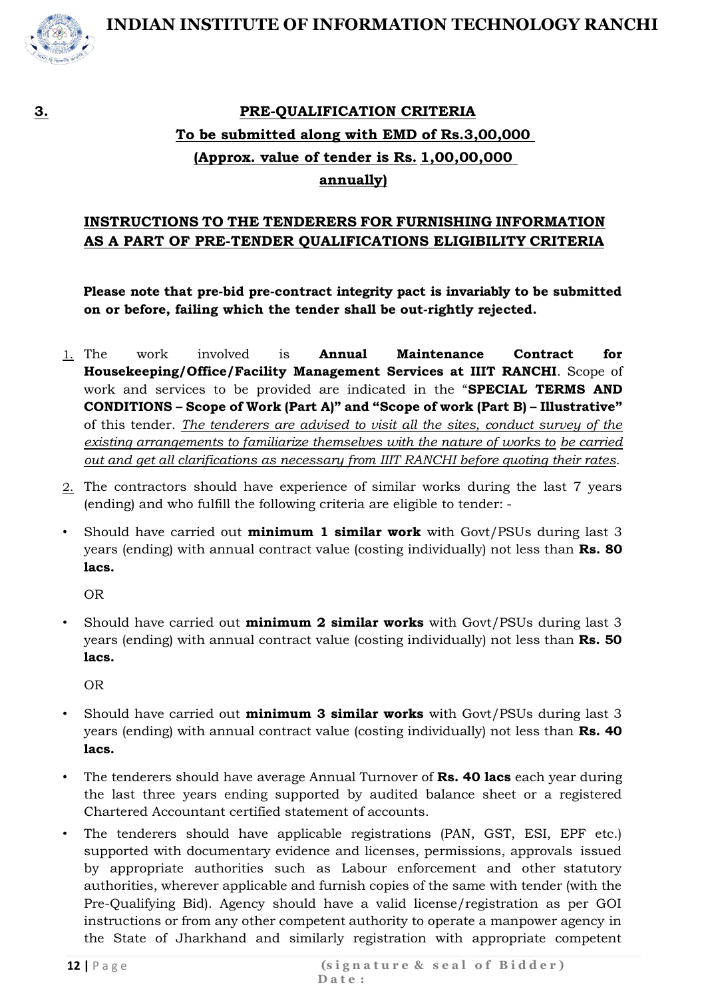

## **3. PRE-QUALIFICATION CRITERIA To be submitted along with EMD of Rs.3,00,000 (Approx. value of tender is Rs. 1,00,00,000 annually)**

#### **INSTRUCTIONS TO THE TENDERERS FOR FURNISHING INFORMATION AS A PART OF PRE-TENDER QUALIFICATIONS ELIGIBILITY CRITERIA**

**Please note that pre-bid pre-contract integrity pact is invariably to be submitted on or before, failing which the tender shall be out-rightly rejected.**

- 1. The work involved is **Annual Maintenance Contract for Housekeeping/Office/Facility Management Services at IIIT RANCHI**. Scope of work and services to be provided are indicated in the "**SPECIAL TERMS AND CONDITIONS – Scope of Work (Part A)" and "Scope of work (Part B) – Illustrative"**  of this tender. *The tenderers are advised to visit all the sites, conduct survey of the existing arrangements to familiarize themselves with the nature of works to be carried out and get all clarifications as necessary from IIIT RANCHI before quoting their rates*.
- 2. The contractors should have experience of similar works during the last 7 years (ending) and who fulfill the following criteria are eligible to tender: -
- Should have carried out **minimum 1 similar work** with Govt/PSUs during last 3 years (ending) with annual contract value (costing individually) not less than **Rs. 80 lacs.**

OR

• Should have carried out **minimum 2 similar works** with Govt/PSUs during last 3 years (ending) with annual contract value (costing individually) not less than **Rs. 50 lacs.**

OR

- Should have carried out **minimum 3 similar works** with Govt/PSUs during last 3 years (ending) with annual contract value (costing individually) not less than **Rs. 40 lacs.**
- The tenderers should have average Annual Turnover of **Rs. 40 lacs** each year during the last three years ending supported by audited balance sheet or a registered Chartered Accountant certified statement of accounts.
- The tenderers should have applicable registrations (PAN, GST, ESI, EPF etc.) supported with documentary evidence and licenses, permissions, approvals issued by appropriate authorities such as Labour enforcement and other statutory authorities, wherever applicable and furnish copies of the same with tender (with the Pre-Qualifying Bid). Agency should have a valid license/registration as per GOI instructions or from any other competent authority to operate a manpower agency in the State of Jharkhand and similarly registration with appropriate competent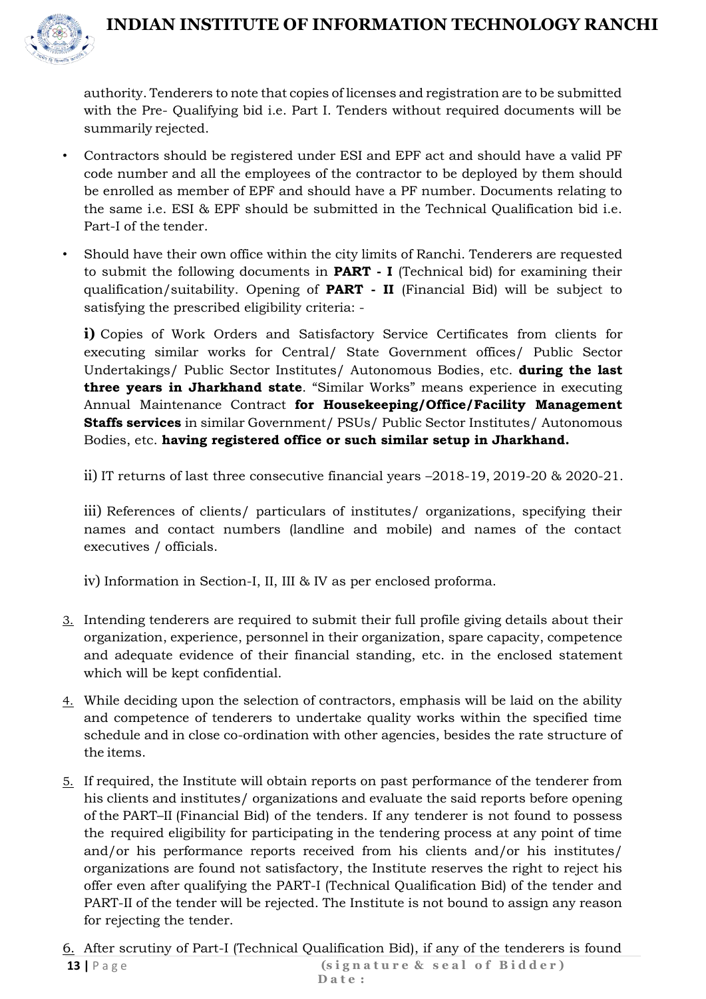

authority. Tenderers to note that copies of licenses and registration are to be submitted with the Pre- Qualifying bid i.e. Part I. Tenders without required documents will be summarily rejected.

- Contractors should be registered under ESI and EPF act and should have a valid PF code number and all the employees of the contractor to be deployed by them should be enrolled as member of EPF and should have a PF number. Documents relating to the same i.e. ESI & EPF should be submitted in the Technical Qualification bid i.e. Part-I of the tender.
- Should have their own office within the city limits of Ranchi. Tenderers are requested to submit the following documents in **PART - I** (Technical bid) for examining their qualification/suitability. Opening of **PART - II** (Financial Bid) will be subject to satisfying the prescribed eligibility criteria: -

**i)** Copies of Work Orders and Satisfactory Service Certificates from clients for executing similar works for Central/ State Government offices/ Public Sector Undertakings/ Public Sector Institutes/ Autonomous Bodies, etc. **during the last three years in Jharkhand state**. "Similar Works" means experience in executing Annual Maintenance Contract **for Housekeeping/Office/Facility Management Staffs services** in similar Government/ PSUs/ Public Sector Institutes/ Autonomous Bodies, etc. **having registered office or such similar setup in Jharkhand.**

ii) IT returns of last three consecutive financial years –2018-19, 2019-20 & 2020-21.

iii) References of clients/ particulars of institutes/ organizations, specifying their names and contact numbers (landline and mobile) and names of the contact executives / officials.

iv) Information in Section-I, II, III & IV as per enclosed proforma.

- 3. Intending tenderers are required to submit their full profile giving details about their organization, experience, personnel in their organization, spare capacity, competence and adequate evidence of their financial standing, etc. in the enclosed statement which will be kept confidential.
- 4. While deciding upon the selection of contractors, emphasis will be laid on the ability and competence of tenderers to undertake quality works within the specified time schedule and in close co-ordination with other agencies, besides the rate structure of the items.
- 5. If required, the Institute will obtain reports on past performance of the tenderer from his clients and institutes/ organizations and evaluate the said reports before opening of the PART–II (Financial Bid) of the tenders. If any tenderer is not found to possess the required eligibility for participating in the tendering process at any point of time and/or his performance reports received from his clients and/or his institutes/ organizations are found not satisfactory, the Institute reserves the right to reject his offer even after qualifying the PART-I (Technical Qualification Bid) of the tender and PART-II of the tender will be rejected. The Institute is not bound to assign any reason for rejecting the tender.

(signature & seal of Bidder) **D a t e : 13 |** P a g e 6. After scrutiny of Part-I (Technical Qualification Bid), if any of the tenderers is found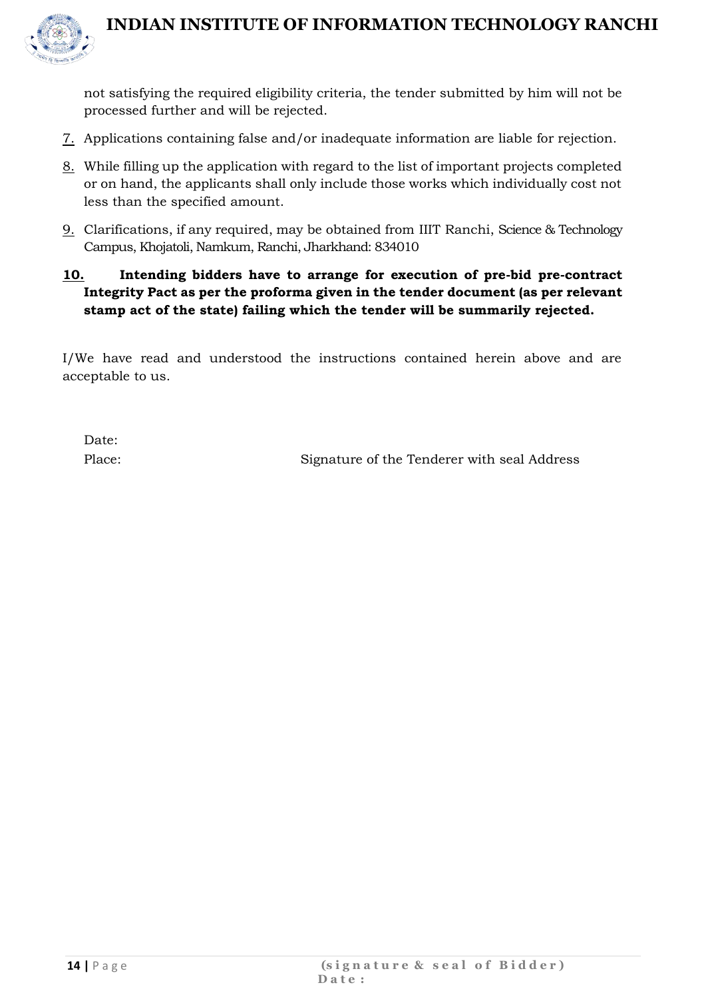

not satisfying the required eligibility criteria, the tender submitted by him will not be processed further and will be rejected.

- 7. Applications containing false and/or inadequate information are liable for rejection.
- 8. While filling up the application with regard to the list of important projects completed or on hand, the applicants shall only include those works which individually cost not less than the specified amount.
- 9. Clarifications, if any required, may be obtained from IIIT Ranchi, Science & Technology Campus, Khojatoli, Namkum, Ranchi, Jharkhand: 834010

#### **10. Intending bidders have to arrange for execution of pre-bid pre-contract Integrity Pact as per the proforma given in the tender document (as per relevant stamp act of the state) failing which the tender will be summarily rejected.**

I/We have read and understood the instructions contained herein above and are acceptable to us.

Date:

Place: Signature of the Tenderer with seal Address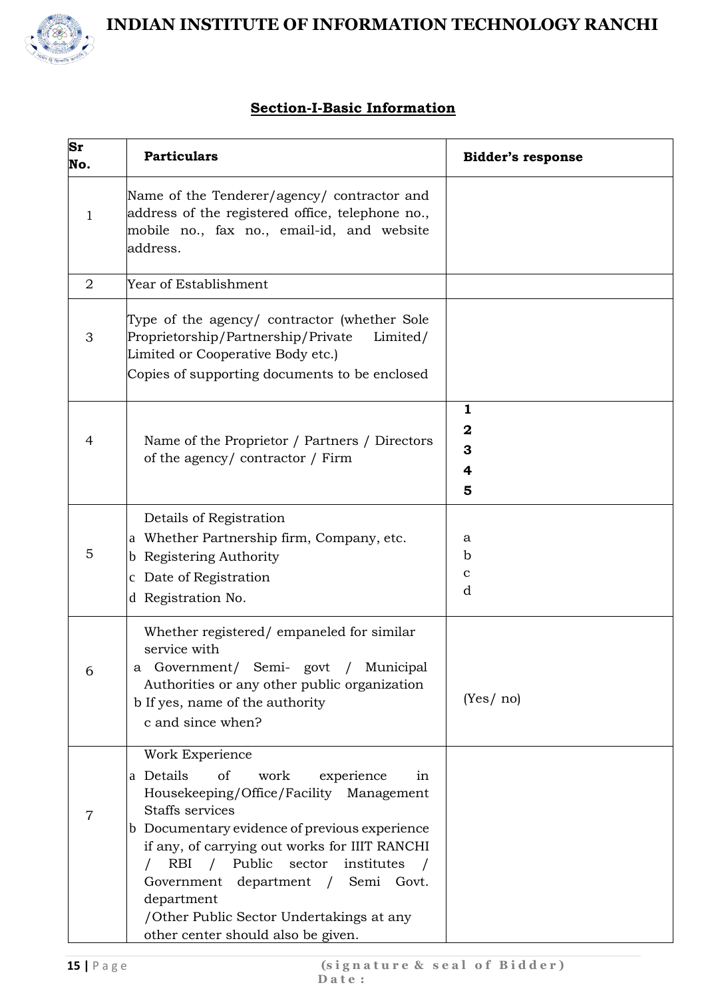

#### **Section-I-Basic Information**

| Sr<br>No.      | <b>Particulars</b>                                                                                                                                                                                                                                                                                                                                                                                                               | <b>Bidder's response</b>             |
|----------------|----------------------------------------------------------------------------------------------------------------------------------------------------------------------------------------------------------------------------------------------------------------------------------------------------------------------------------------------------------------------------------------------------------------------------------|--------------------------------------|
| 1              | Name of the Tenderer/agency/ contractor and<br>address of the registered office, telephone no.,<br>mobile no., fax no., email-id, and website<br>address.                                                                                                                                                                                                                                                                        |                                      |
| $\overline{2}$ | Year of Establishment                                                                                                                                                                                                                                                                                                                                                                                                            |                                      |
| 3              | Type of the agency/ contractor (whether Sole<br>Proprietorship/Partnership/Private<br>Limited/<br>Limited or Cooperative Body etc.)<br>Copies of supporting documents to be enclosed                                                                                                                                                                                                                                             |                                      |
| 4              | Name of the Proprietor / Partners / Directors<br>of the agency/contractor/Firm                                                                                                                                                                                                                                                                                                                                                   | 1<br>$\mathbf 2$<br>3<br>4<br>5      |
| 5              | Details of Registration<br>a Whether Partnership firm, Company, etc.<br>Registering Authority<br>b.<br>c Date of Registration<br>d Registration No.                                                                                                                                                                                                                                                                              | a<br>$\mathbf b$<br>$\mathbf c$<br>d |
|                | Whether registered/empaneled for similar<br>service with<br>Government/ Semi- govt<br>Municipal<br>а<br>Authorities or any other public organization<br>b If yes, name of the authority<br>c and since when?                                                                                                                                                                                                                     | (Yes/no)                             |
| 7              | Work Experience<br>a Details<br>of<br>work<br>experience<br>in<br>Housekeeping/Office/Facility Management<br>Staffs services<br>b Documentary evidence of previous experience<br>if any, of carrying out works for IIIT RANCHI<br>/ Public<br>RBI<br>sector<br>institutes<br>$\sqrt{ }$<br>department / Semi Govt.<br>Government<br>department<br>/Other Public Sector Undertakings at any<br>other center should also be given. |                                      |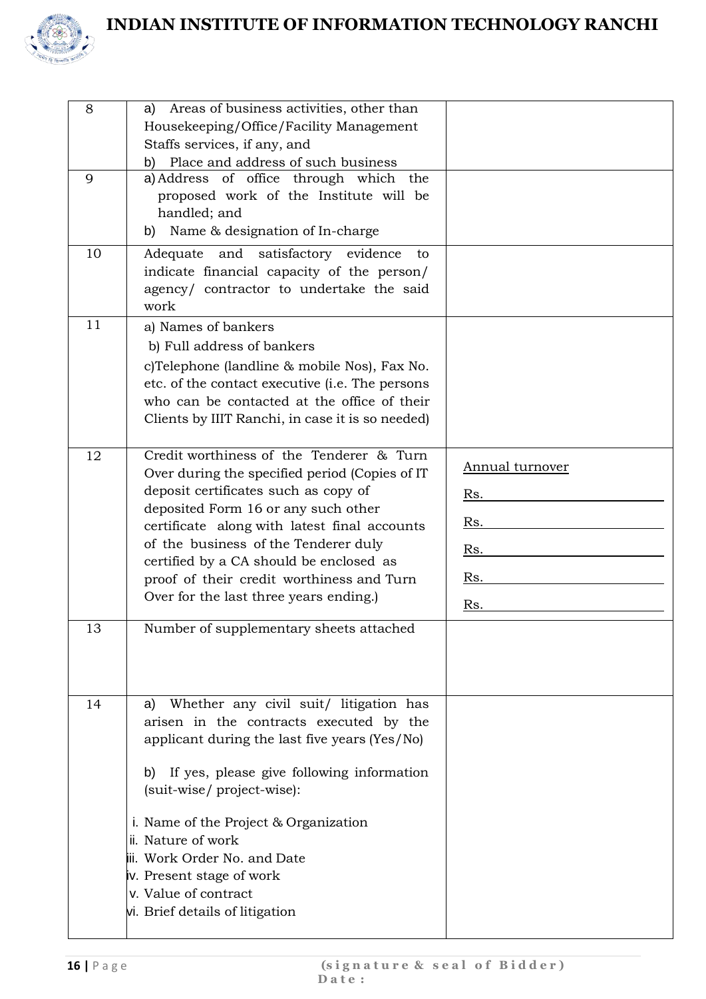



| 8<br>9<br>10 | Areas of business activities, other than<br>a)<br>Housekeeping/Office/Facility Management<br>Staffs services, if any, and<br>Place and address of such business<br>b)<br>a) Address of office through which the<br>proposed work of the Institute will be<br>handled; and<br>Name & designation of In-charge<br>b)<br>satisfactory evidence<br>and<br>Adequate<br>to                                                                           |                                                           |
|--------------|------------------------------------------------------------------------------------------------------------------------------------------------------------------------------------------------------------------------------------------------------------------------------------------------------------------------------------------------------------------------------------------------------------------------------------------------|-----------------------------------------------------------|
|              | indicate financial capacity of the person/<br>agency/ contractor to undertake the said<br>work                                                                                                                                                                                                                                                                                                                                                 |                                                           |
| 11           | a) Names of bankers<br>b) Full address of bankers<br>c)Telephone (landline & mobile Nos), Fax No.<br>etc. of the contact executive (i.e. The persons<br>who can be contacted at the office of their<br>Clients by IIIT Ranchi, in case it is so needed)                                                                                                                                                                                        |                                                           |
| 12<br>13     | Credit worthiness of the Tenderer & Turn<br>Over during the specified period (Copies of IT<br>deposit certificates such as copy of<br>deposited Form 16 or any such other<br>certificate along with latest final accounts<br>of the business of the Tenderer duly<br>certified by a CA should be enclosed as<br>proof of their credit worthiness and Turn<br>Over for the last three years ending.)<br>Number of supplementary sheets attached | <b>Annual turnover</b><br>Rs.<br>Rs.<br>Rs.<br>Rs.<br>Rs. |
| 14           | Whether any civil suit/ litigation has<br>a)<br>arisen in the contracts executed by the<br>applicant during the last five years (Yes/No)<br>If yes, please give following information<br>b)<br>(suit-wise/project-wise):<br>i. Name of the Project & Organization<br>ii. Nature of work<br>iii. Work Order No. and Date<br>iv. Present stage of work<br>v. Value of contract<br>vi. Brief details of litigation                                |                                                           |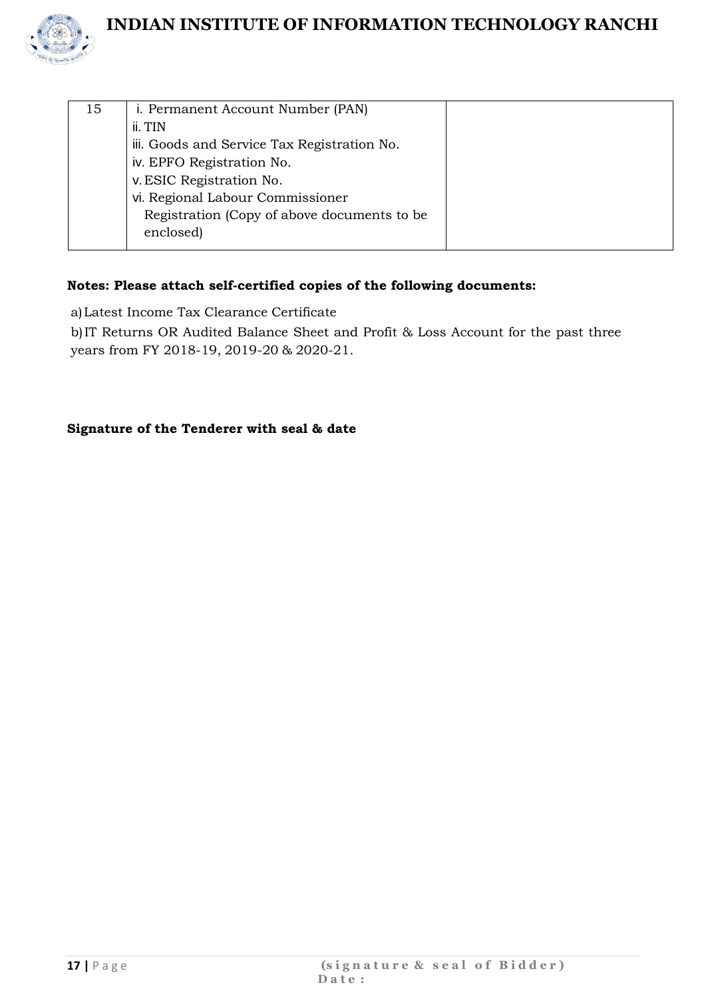

| 15 | i. Permanent Account Number (PAN)           |  |
|----|---------------------------------------------|--|
|    | ii. TIN                                     |  |
|    | iii. Goods and Service Tax Registration No. |  |
|    | iv. EPFO Registration No.                   |  |
|    | v. ESIC Registration No.                    |  |
|    | vi. Regional Labour Commissioner            |  |
|    | Registration (Copy of above documents to be |  |
|    | enclosed)                                   |  |
|    |                                             |  |

#### **Notes: Please attach self-certified copies of the following documents:**

a)Latest Income Tax Clearance Certificate

b)IT Returns OR Audited Balance Sheet and Profit & Loss Account for the past three years from FY 2018-19, 2019-20 & 2020-21.

#### **Signature of the Tenderer with seal & date**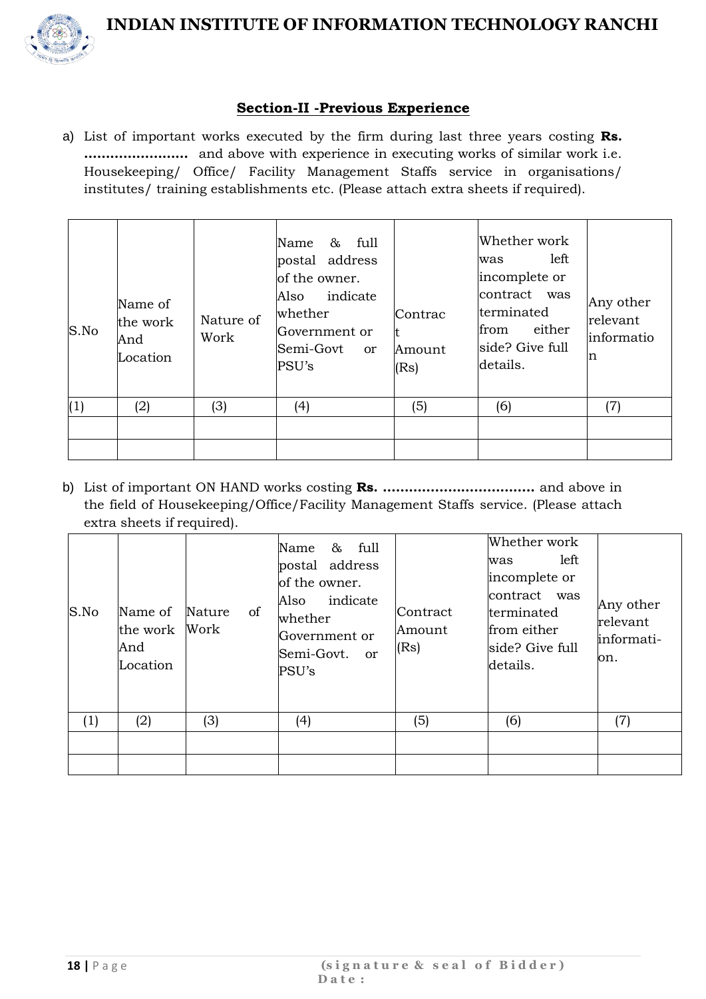

#### **Section-II -Previous Experience**

a) List of important works executed by the firm during last three years costing **Rs. ……………………** and above with experience in executing works of similar work i.e. Housekeeping/ Office/ Facility Management Staffs service in organisations/ institutes/ training establishments etc. (Please attach extra sheets if required).

| $S$ .No | Name of<br>the work<br>And<br>Location | Nature of<br>Work | & full<br>Name<br>postal address<br>of the owner.<br>indicate<br>Also<br>whether<br>Government or<br>Semi-Govt<br><sub>or</sub><br>PSU's | Contrac<br>lt.<br>Amount<br>(Rs) | Whether work<br>left<br>was<br>incomplete or<br>contract was<br>terminated<br>either<br>from<br>side? Give full<br>details. | Any other<br>relevant<br>informatio<br>n |
|---------|----------------------------------------|-------------------|------------------------------------------------------------------------------------------------------------------------------------------|----------------------------------|-----------------------------------------------------------------------------------------------------------------------------|------------------------------------------|
| (1)     | (2)                                    | (3)               | (4)                                                                                                                                      | (5)                              | (6)                                                                                                                         | (7)                                      |
|         |                                        |                   |                                                                                                                                          |                                  |                                                                                                                             |                                          |
|         |                                        |                   |                                                                                                                                          |                                  |                                                                                                                             |                                          |

b) List of important ON HAND works costing **Rs. ……………………………..** and above in the field of Housekeeping/Office/Facility Management Staffs service. (Please attach extra sheets if required).

| S.No | Name of<br>the work<br>And<br>Location | of<br>Nature<br>Work | & full<br>Name<br>postal address<br>of the owner.<br>indicate<br>Also<br>whether<br>Government or<br>Semi-Govt. or<br>PSU's | Contract<br>Amount<br>(Rs) | Whether work<br>left.<br>was<br>incomplete or<br>contract was<br>terminated<br>from either<br>side? Give full<br>details. | Any other<br>relevant<br>informati-<br>on. |
|------|----------------------------------------|----------------------|-----------------------------------------------------------------------------------------------------------------------------|----------------------------|---------------------------------------------------------------------------------------------------------------------------|--------------------------------------------|
| (1)  | (2)                                    | (3)                  | (4)                                                                                                                         | (5)                        | (6)                                                                                                                       | (7)                                        |
|      |                                        |                      |                                                                                                                             |                            |                                                                                                                           |                                            |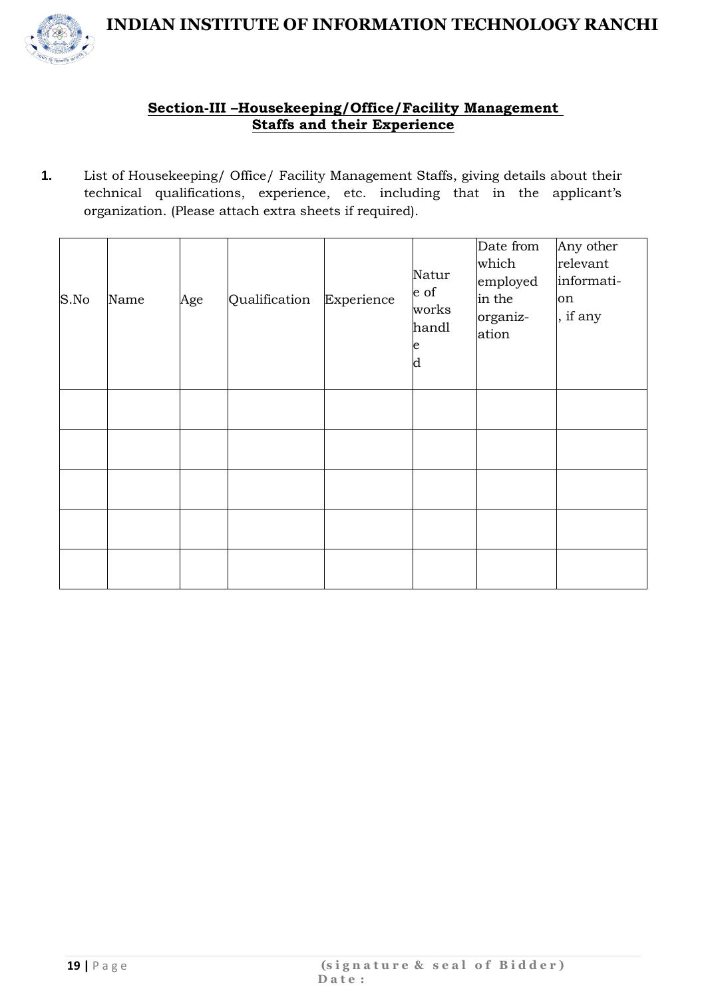

#### **Section-III –Housekeeping/Office/Facility Management Staffs and their Experience**

**1.** List of Housekeeping/ Office/ Facility Management Staffs, giving details about their technical qualifications, experience, etc. including that in the applicant's organization. (Please attach extra sheets if required).

| S.No | Name | Age | Qualification | Experience | Natur<br>e of<br>works<br>handl<br>e<br>d | Date from<br>which<br>employed<br>in the<br>organiz-<br>ation | Any other<br>relevant<br>informati-<br>on<br>, if any |
|------|------|-----|---------------|------------|-------------------------------------------|---------------------------------------------------------------|-------------------------------------------------------|
|      |      |     |               |            |                                           |                                                               |                                                       |
|      |      |     |               |            |                                           |                                                               |                                                       |
|      |      |     |               |            |                                           |                                                               |                                                       |
|      |      |     |               |            |                                           |                                                               |                                                       |
|      |      |     |               |            |                                           |                                                               |                                                       |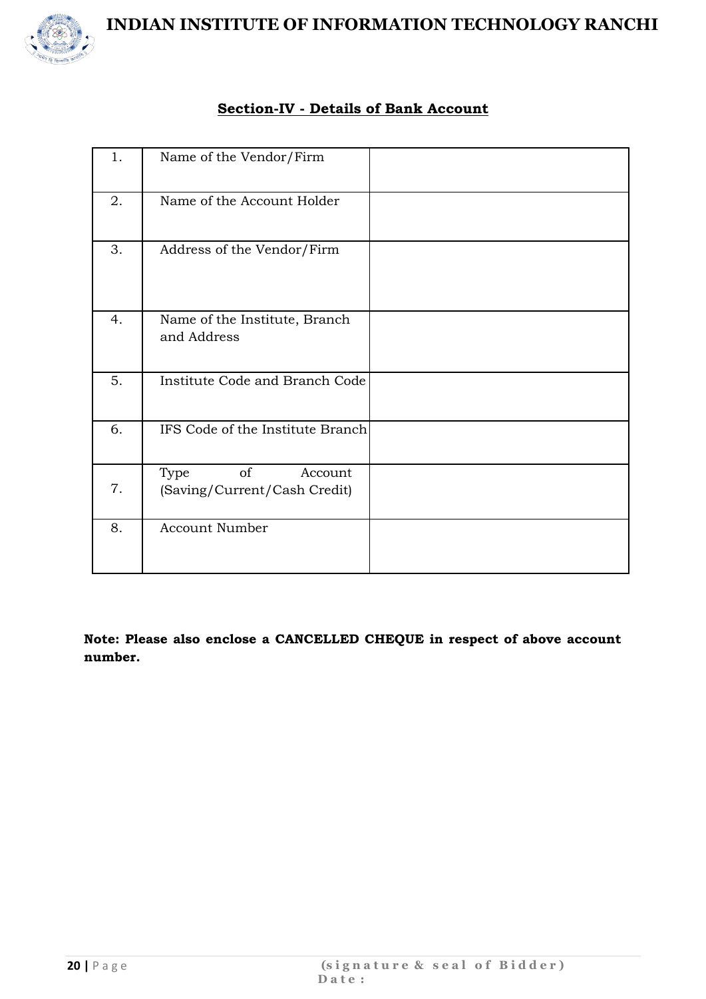

#### **Section-IV - Details of Bank Account**

| 1. | Name of the Vendor/Firm                               |  |
|----|-------------------------------------------------------|--|
| 2. | Name of the Account Holder                            |  |
| 3. | Address of the Vendor/Firm                            |  |
| 4. | Name of the Institute, Branch<br>and Address          |  |
| 5. | Institute Code and Branch Code                        |  |
| 6. | IFS Code of the Institute Branch                      |  |
| 7. | of<br>Account<br>Type<br>(Saving/Current/Cash Credit) |  |
| 8. | <b>Account Number</b>                                 |  |

**Note: Please also enclose a CANCELLED CHEQUE in respect of above account number.**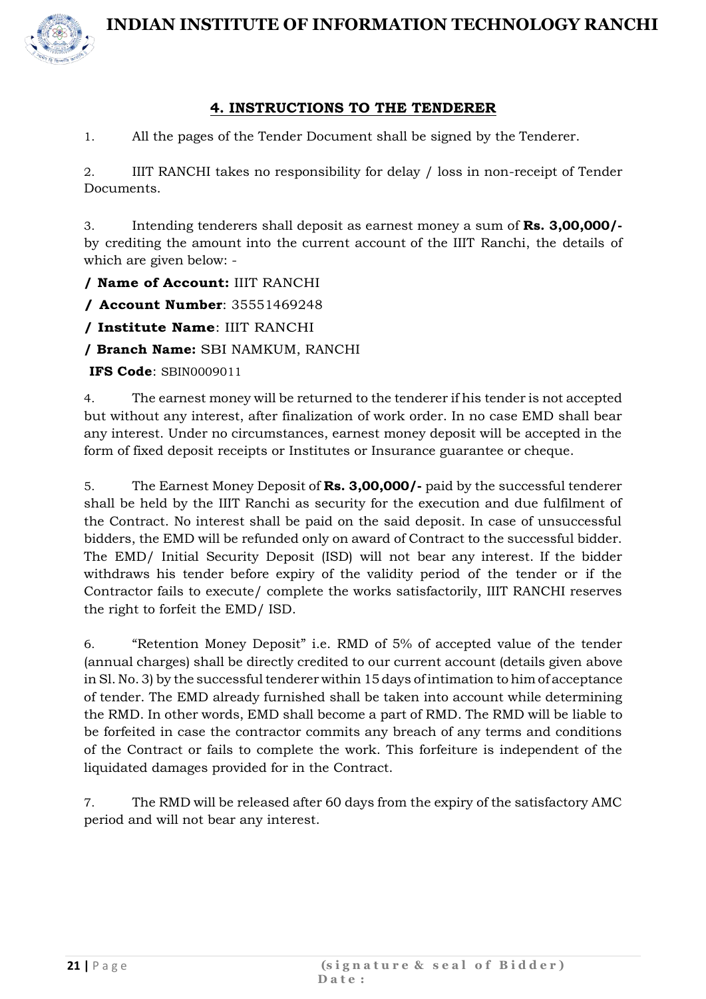

#### **4. INSTRUCTIONS TO THE TENDERER**

1. All the pages of the Tender Document shall be signed by the Tenderer.

2. IIIT RANCHI takes no responsibility for delay / loss in non-receipt of Tender Documents.

3. Intending tenderers shall deposit as earnest money a sum of **Rs. 3,00,000/** by crediting the amount into the current account of the IIIT Ranchi, the details of which are given below: -

**/ Name of Account:** IIIT RANCHI

**/ Account Number**: 35551469248

**/ Institute Name**: IIIT RANCHI

**/ Branch Name:** SBI NAMKUM, RANCHI

**IFS Code**: SBIN0009011

4. The earnest money will be returned to the tenderer if his tender is not accepted but without any interest, after finalization of work order. In no case EMD shall bear any interest. Under no circumstances, earnest money deposit will be accepted in the form of fixed deposit receipts or Institutes or Insurance guarantee or cheque.

5. The Earnest Money Deposit of **Rs. 3,00,000/-** paid by the successful tenderer shall be held by the IIIT Ranchi as security for the execution and due fulfilment of the Contract. No interest shall be paid on the said deposit. In case of unsuccessful bidders, the EMD will be refunded only on award of Contract to the successful bidder. The EMD/ Initial Security Deposit (ISD) will not bear any interest. If the bidder withdraws his tender before expiry of the validity period of the tender or if the Contractor fails to execute/ complete the works satisfactorily, IIIT RANCHI reserves the right to forfeit the EMD/ ISD.

6. "Retention Money Deposit" i.e. RMD of 5% of accepted value of the tender (annual charges) shall be directly credited to our current account (details given above in Sl. No. 3) by the successful tenderer within 15 days of intimation to him of acceptance of tender. The EMD already furnished shall be taken into account while determining the RMD. In other words, EMD shall become a part of RMD. The RMD will be liable to be forfeited in case the contractor commits any breach of any terms and conditions of the Contract or fails to complete the work. This forfeiture is independent of the liquidated damages provided for in the Contract.

7. The RMD will be released after 60 days from the expiry of the satisfactory AMC period and will not bear any interest.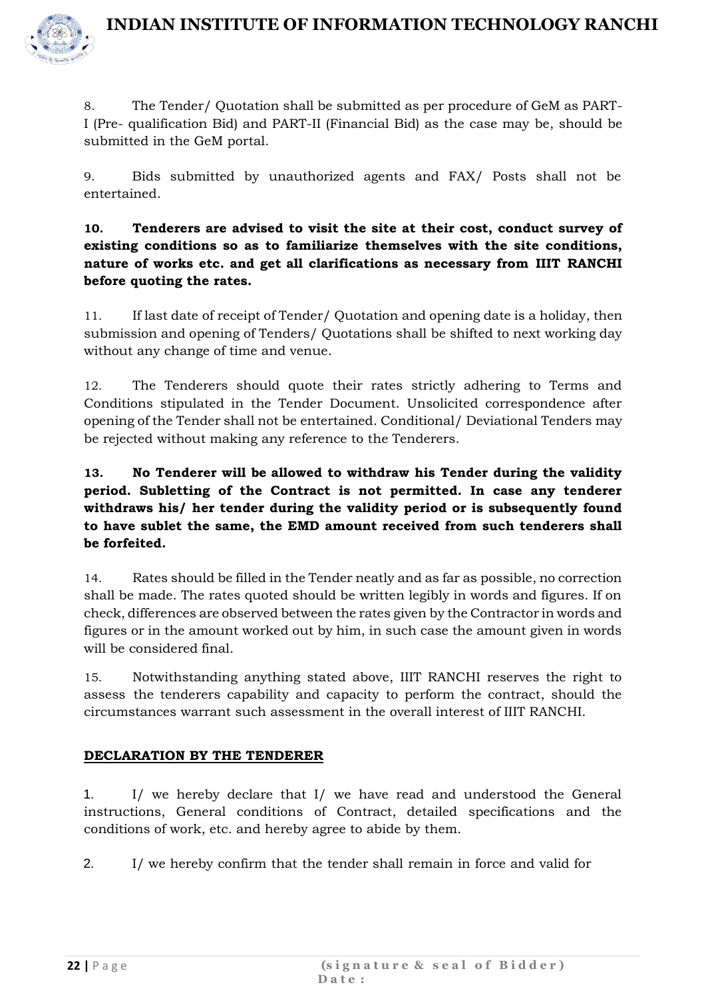

8. The Tender/ Quotation shall be submitted as per procedure of GeM as PART-I (Pre- qualification Bid) and PART-II (Financial Bid) as the case may be, should be submitted in the GeM portal.

9. Bids submitted by unauthorized agents and FAX/ Posts shall not be entertained.

**10. Tenderers are advised to visit the site at their cost, conduct survey of existing conditions so as to familiarize themselves with the site conditions, nature of works etc. and get all clarifications as necessary from IIIT RANCHI before quoting the rates.**

11. If last date of receipt of Tender/ Quotation and opening date is a holiday, then submission and opening of Tenders/ Quotations shall be shifted to next working day without any change of time and venue.

12. The Tenderers should quote their rates strictly adhering to Terms and Conditions stipulated in the Tender Document. Unsolicited correspondence after opening of the Tender shall not be entertained. Conditional/ Deviational Tenders may be rejected without making any reference to the Tenderers.

**13. No Tenderer will be allowed to withdraw his Tender during the validity period. Subletting of the Contract is not permitted. In case any tenderer withdraws his/ her tender during the validity period or is subsequently found to have sublet the same, the EMD amount received from such tenderers shall be forfeited.**

14. Rates should be filled in the Tender neatly and as far as possible, no correction shall be made. The rates quoted should be written legibly in words and figures. If on check, differences are observed between the rates given by the Contractor in words and figures or in the amount worked out by him, in such case the amount given in words will be considered final.

15. Notwithstanding anything stated above, IIIT RANCHI reserves the right to assess the tenderers capability and capacity to perform the contract, should the circumstances warrant such assessment in the overall interest of IIIT RANCHI.

#### **DECLARATION BY THE TENDERER**

1. I/ we hereby declare that I/ we have read and understood the General instructions, General conditions of Contract, detailed specifications and the conditions of work, etc. and hereby agree to abide by them.

2. I/ we hereby confirm that the tender shall remain in force and valid for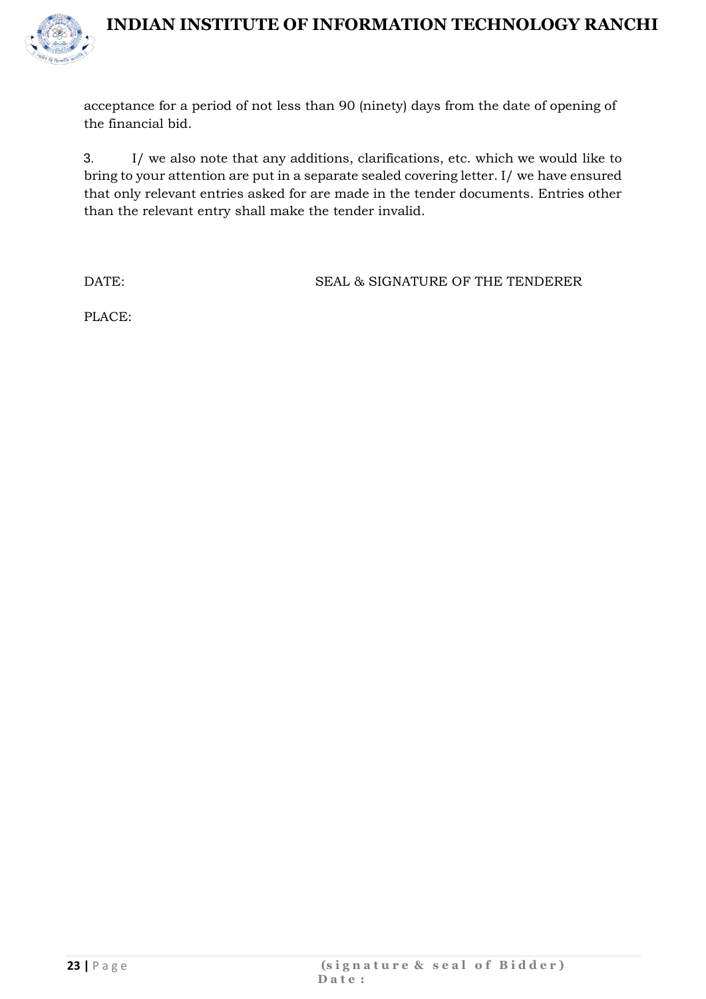

acceptance for a period of not less than 90 (ninety) days from the date of opening of the financial bid.

3. I/ we also note that any additions, clarifications, etc. which we would like to bring to your attention are put in a separate sealed covering letter. I/ we have ensured that only relevant entries asked for are made in the tender documents. Entries other than the relevant entry shall make the tender invalid.

DATE: SEAL & SIGNATURE OF THE TENDERER

PLACE: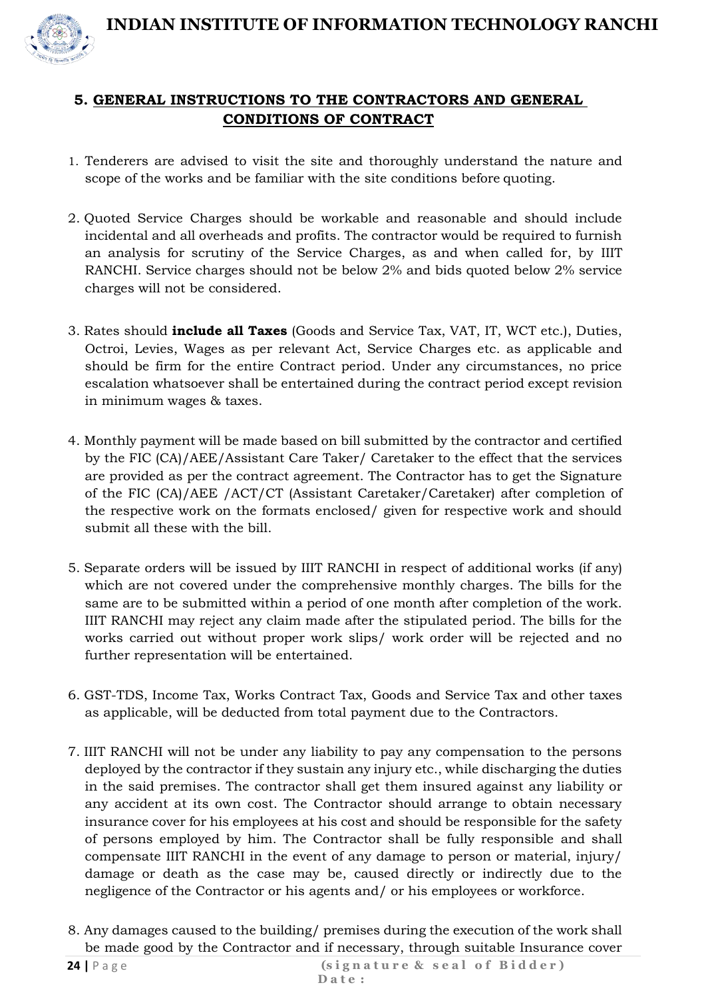

- 1. Tenderers are advised to visit the site and thoroughly understand the nature and scope of the works and be familiar with the site conditions before quoting.
- 2. Quoted Service Charges should be workable and reasonable and should include incidental and all overheads and profits. The contractor would be required to furnish an analysis for scrutiny of the Service Charges, as and when called for, by IIIT RANCHI. Service charges should not be below 2% and bids quoted below 2% service charges will not be considered.
- 3. Rates should **include all Taxes** (Goods and Service Tax, VAT, IT, WCT etc.), Duties, Octroi, Levies, Wages as per relevant Act, Service Charges etc. as applicable and should be firm for the entire Contract period. Under any circumstances, no price escalation whatsoever shall be entertained during the contract period except revision in minimum wages & taxes.
- 4. Monthly payment will be made based on bill submitted by the contractor and certified by the FIC (CA)/AEE/Assistant Care Taker/ Caretaker to the effect that the services are provided as per the contract agreement. The Contractor has to get the Signature of the FIC (CA)/AEE /ACT/CT (Assistant Caretaker/Caretaker) after completion of the respective work on the formats enclosed/ given for respective work and should submit all these with the bill.
- 5. Separate orders will be issued by IIIT RANCHI in respect of additional works (if any) which are not covered under the comprehensive monthly charges. The bills for the same are to be submitted within a period of one month after completion of the work. IIIT RANCHI may reject any claim made after the stipulated period. The bills for the works carried out without proper work slips/ work order will be rejected and no further representation will be entertained.
- 6. GST-TDS, Income Tax, Works Contract Tax, Goods and Service Tax and other taxes as applicable, will be deducted from total payment due to the Contractors.
- 7. IIIT RANCHI will not be under any liability to pay any compensation to the persons deployed by the contractor if they sustain any injury etc., while discharging the duties in the said premises. The contractor shall get them insured against any liability or any accident at its own cost. The Contractor should arrange to obtain necessary insurance cover for his employees at his cost and should be responsible for the safety of persons employed by him. The Contractor shall be fully responsible and shall compensate IIIT RANCHI in the event of any damage to person or material, injury/ damage or death as the case may be, caused directly or indirectly due to the negligence of the Contractor or his agents and/ or his employees or workforce.
- 8. Any damages caused to the building/ premises during the execution of the work shall be made good by the Contractor and if necessary, through suitable Insurance cover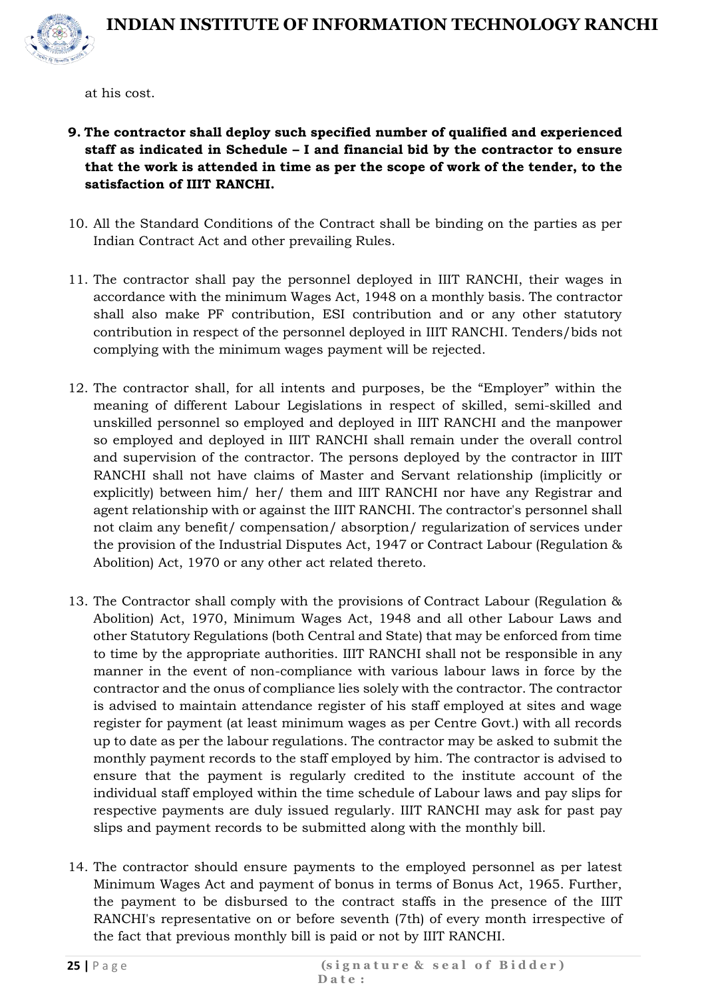

at his cost.

- **9. The contractor shall deploy such specified number of qualified and experienced staff as indicated in Schedule – I and financial bid by the contractor to ensure that the work is attended in time as per the scope of work of the tender, to the satisfaction of IIIT RANCHI.**
- 10. All the Standard Conditions of the Contract shall be binding on the parties as per Indian Contract Act and other prevailing Rules.
- 11. The contractor shall pay the personnel deployed in IIIT RANCHI, their wages in accordance with the minimum Wages Act, 1948 on a monthly basis. The contractor shall also make PF contribution, ESI contribution and or any other statutory contribution in respect of the personnel deployed in IIIT RANCHI. Tenders/bids not complying with the minimum wages payment will be rejected.
- 12. The contractor shall, for all intents and purposes, be the "Employer" within the meaning of different Labour Legislations in respect of skilled, semi-skilled and unskilled personnel so employed and deployed in IIIT RANCHI and the manpower so employed and deployed in IIIT RANCHI shall remain under the overall control and supervision of the contractor. The persons deployed by the contractor in IIIT RANCHI shall not have claims of Master and Servant relationship (implicitly or explicitly) between him/ her/ them and IIIT RANCHI nor have any Registrar and agent relationship with or against the IIIT RANCHI. The contractor's personnel shall not claim any benefit/ compensation/ absorption/ regularization of services under the provision of the Industrial Disputes Act, 1947 or Contract Labour (Regulation & Abolition) Act, 1970 or any other act related thereto.
- 13. The Contractor shall comply with the provisions of Contract Labour (Regulation & Abolition) Act, 1970, Minimum Wages Act, 1948 and all other Labour Laws and other Statutory Regulations (both Central and State) that may be enforced from time to time by the appropriate authorities. IIIT RANCHI shall not be responsible in any manner in the event of non-compliance with various labour laws in force by the contractor and the onus of compliance lies solely with the contractor. The contractor is advised to maintain attendance register of his staff employed at sites and wage register for payment (at least minimum wages as per Centre Govt.) with all records up to date as per the labour regulations. The contractor may be asked to submit the monthly payment records to the staff employed by him. The contractor is advised to ensure that the payment is regularly credited to the institute account of the individual staff employed within the time schedule of Labour laws and pay slips for respective payments are duly issued regularly. IIIT RANCHI may ask for past pay slips and payment records to be submitted along with the monthly bill.
- 14. The contractor should ensure payments to the employed personnel as per latest Minimum Wages Act and payment of bonus in terms of Bonus Act, 1965. Further, the payment to be disbursed to the contract staffs in the presence of the IIIT RANCHI's representative on or before seventh (7th) of every month irrespective of the fact that previous monthly bill is paid or not by IIIT RANCHI.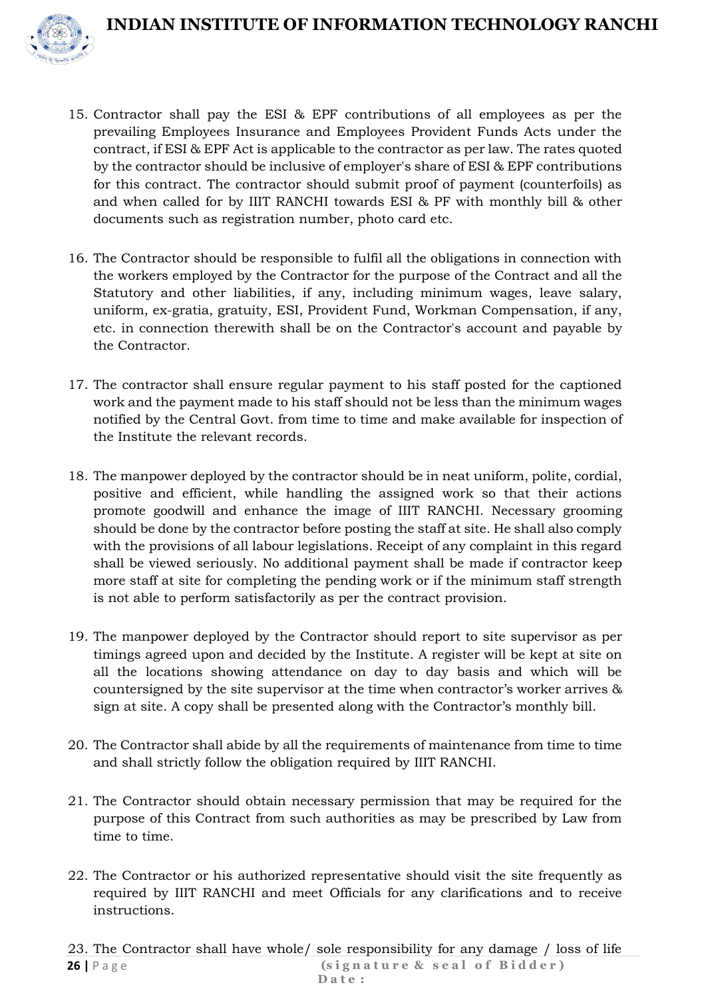

- 15. Contractor shall pay the ESI & EPF contributions of all employees as per the prevailing Employees Insurance and Employees Provident Funds Acts under the contract, if ESI & EPF Act is applicable to the contractor as per law. The rates quoted by the contractor should be inclusive of employer's share of ESI & EPF contributions for this contract. The contractor should submit proof of payment (counterfoils) as and when called for by IIIT RANCHI towards ESI & PF with monthly bill & other documents such as registration number, photo card etc.
- 16. The Contractor should be responsible to fulfil all the obligations in connection with the workers employed by the Contractor for the purpose of the Contract and all the Statutory and other liabilities, if any, including minimum wages, leave salary, uniform, ex-gratia, gratuity, ESI, Provident Fund, Workman Compensation, if any, etc. in connection therewith shall be on the Contractor's account and payable by the Contractor.
- 17. The contractor shall ensure regular payment to his staff posted for the captioned work and the payment made to his staff should not be less than the minimum wages notified by the Central Govt. from time to time and make available for inspection of the Institute the relevant records.
- 18. The manpower deployed by the contractor should be in neat uniform, polite, cordial, positive and efficient, while handling the assigned work so that their actions promote goodwill and enhance the image of IIIT RANCHI. Necessary grooming should be done by the contractor before posting the staff at site. He shall also comply with the provisions of all labour legislations. Receipt of any complaint in this regard shall be viewed seriously. No additional payment shall be made if contractor keep more staff at site for completing the pending work or if the minimum staff strength is not able to perform satisfactorily as per the contract provision.
- 19. The manpower deployed by the Contractor should report to site supervisor as per timings agreed upon and decided by the Institute. A register will be kept at site on all the locations showing attendance on day to day basis and which will be countersigned by the site supervisor at the time when contractor's worker arrives & sign at site. A copy shall be presented along with the Contractor's monthly bill.
- 20. The Contractor shall abide by all the requirements of maintenance from time to time and shall strictly follow the obligation required by IIIT RANCHI.
- 21. The Contractor should obtain necessary permission that may be required for the purpose of this Contract from such authorities as may be prescribed by Law from time to time.
- 22. The Contractor or his authorized representative should visit the site frequently as required by IIIT RANCHI and meet Officials for any clarifications and to receive instructions.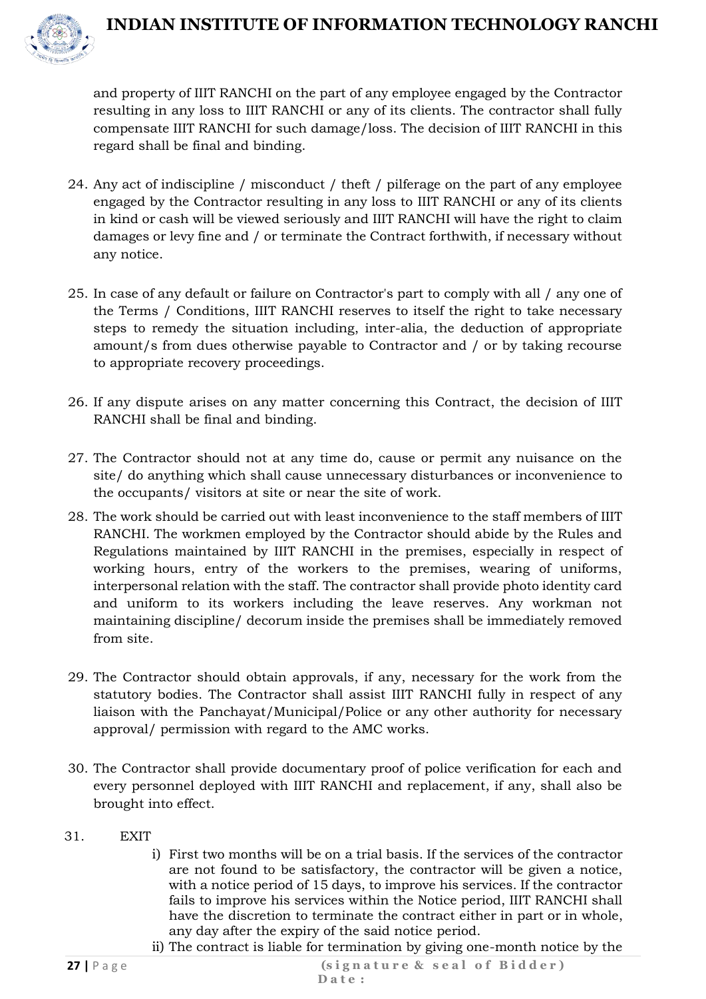

and property of IIIT RANCHI on the part of any employee engaged by the Contractor resulting in any loss to IIIT RANCHI or any of its clients. The contractor shall fully compensate IIIT RANCHI for such damage/loss. The decision of IIIT RANCHI in this regard shall be final and binding.

- 24. Any act of indiscipline / misconduct / theft / pilferage on the part of any employee engaged by the Contractor resulting in any loss to IIIT RANCHI or any of its clients in kind or cash will be viewed seriously and IIIT RANCHI will have the right to claim damages or levy fine and / or terminate the Contract forthwith, if necessary without any notice.
- 25. In case of any default or failure on Contractor's part to comply with all / any one of the Terms / Conditions, IIIT RANCHI reserves to itself the right to take necessary steps to remedy the situation including, inter-alia, the deduction of appropriate amount/s from dues otherwise payable to Contractor and / or by taking recourse to appropriate recovery proceedings.
- 26. If any dispute arises on any matter concerning this Contract, the decision of IIIT RANCHI shall be final and binding.
- 27. The Contractor should not at any time do, cause or permit any nuisance on the site/ do anything which shall cause unnecessary disturbances or inconvenience to the occupants/ visitors at site or near the site of work.
- 28. The work should be carried out with least inconvenience to the staff members of IIIT RANCHI. The workmen employed by the Contractor should abide by the Rules and Regulations maintained by IIIT RANCHI in the premises, especially in respect of working hours, entry of the workers to the premises, wearing of uniforms, interpersonal relation with the staff. The contractor shall provide photo identity card and uniform to its workers including the leave reserves. Any workman not maintaining discipline/ decorum inside the premises shall be immediately removed from site.
- 29. The Contractor should obtain approvals, if any, necessary for the work from the statutory bodies. The Contractor shall assist IIIT RANCHI fully in respect of any liaison with the Panchayat/Municipal/Police or any other authority for necessary approval/ permission with regard to the AMC works.
- 30. The Contractor shall provide documentary proof of police verification for each and every personnel deployed with IIIT RANCHI and replacement, if any, shall also be brought into effect.
- 31. EXIT
	- i) First two months will be on a trial basis. If the services of the contractor are not found to be satisfactory, the contractor will be given a notice, with a notice period of 15 days, to improve his services. If the contractor fails to improve his services within the Notice period, IIIT RANCHI shall have the discretion to terminate the contract either in part or in whole, any day after the expiry of the said notice period.
	- ii) The contract is liable for termination by giving one-month notice by the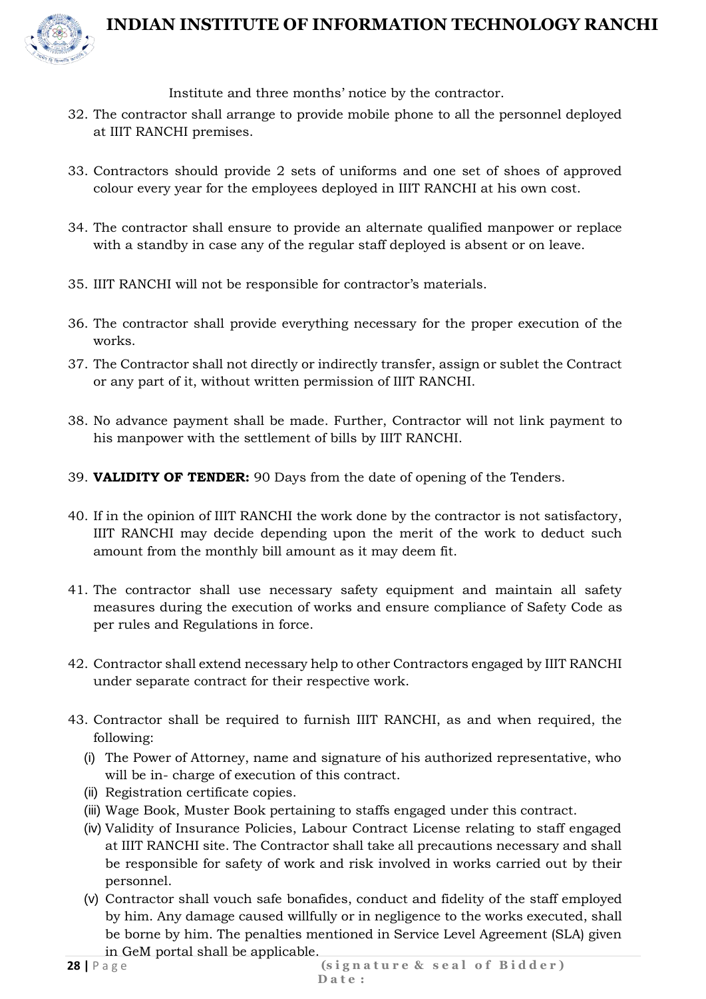

Institute and three months' notice by the contractor.

- 32. The contractor shall arrange to provide mobile phone to all the personnel deployed at IIIT RANCHI premises.
- 33. Contractors should provide 2 sets of uniforms and one set of shoes of approved colour every year for the employees deployed in IIIT RANCHI at his own cost.
- 34. The contractor shall ensure to provide an alternate qualified manpower or replace with a standby in case any of the regular staff deployed is absent or on leave.
- 35. IIIT RANCHI will not be responsible for contractor's materials.
- 36. The contractor shall provide everything necessary for the proper execution of the works.
- 37. The Contractor shall not directly or indirectly transfer, assign or sublet the Contract or any part of it, without written permission of IIIT RANCHI.
- 38. No advance payment shall be made. Further, Contractor will not link payment to his manpower with the settlement of bills by IIIT RANCHI.
- 39. **VALIDITY OF TENDER:** 90 Days from the date of opening of the Tenders.
- 40. If in the opinion of IIIT RANCHI the work done by the contractor is not satisfactory, IIIT RANCHI may decide depending upon the merit of the work to deduct such amount from the monthly bill amount as it may deem fit.
- 41. The contractor shall use necessary safety equipment and maintain all safety measures during the execution of works and ensure compliance of Safety Code as per rules and Regulations in force.
- 42. Contractor shall extend necessary help to other Contractors engaged by IIIT RANCHI under separate contract for their respective work.
- 43. Contractor shall be required to furnish IIIT RANCHI, as and when required, the following:
	- (i) The Power of Attorney, name and signature of his authorized representative, who will be in- charge of execution of this contract.
	- (ii) Registration certificate copies.
	- (iii) Wage Book, Muster Book pertaining to staffs engaged under this contract.
	- (iv) Validity of Insurance Policies, Labour Contract License relating to staff engaged at IIIT RANCHI site. The Contractor shall take all precautions necessary and shall be responsible for safety of work and risk involved in works carried out by their personnel.
	- (v) Contractor shall vouch safe bonafides, conduct and fidelity of the staff employed by him. Any damage caused willfully or in negligence to the works executed, shall be borne by him. The penalties mentioned in Service Level Agreement (SLA) given in GeM portal shall be applicable.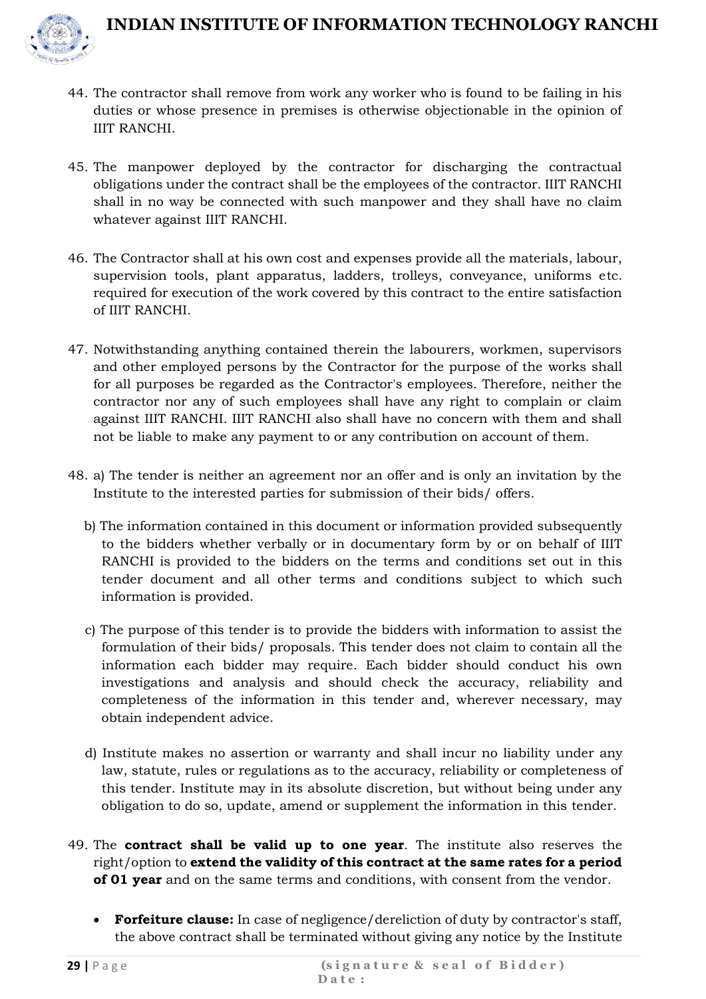

- 44. The contractor shall remove from work any worker who is found to be failing in his duties or whose presence in premises is otherwise objectionable in the opinion of IIIT RANCHI.
- 45. The manpower deployed by the contractor for discharging the contractual obligations under the contract shall be the employees of the contractor. IIIT RANCHI shall in no way be connected with such manpower and they shall have no claim whatever against IIIT RANCHI.
- 46. The Contractor shall at his own cost and expenses provide all the materials, labour, supervision tools, plant apparatus, ladders, trolleys, conveyance, uniforms etc. required for execution of the work covered by this contract to the entire satisfaction of IIIT RANCHI.
- 47. Notwithstanding anything contained therein the labourers, workmen, supervisors and other employed persons by the Contractor for the purpose of the works shall for all purposes be regarded as the Contractor's employees. Therefore, neither the contractor nor any of such employees shall have any right to complain or claim against IIIT RANCHI. IIIT RANCHI also shall have no concern with them and shall not be liable to make any payment to or any contribution on account of them.
- 48. a) The tender is neither an agreement nor an offer and is only an invitation by the Institute to the interested parties for submission of their bids/ offers.
	- b) The information contained in this document or information provided subsequently to the bidders whether verbally or in documentary form by or on behalf of IIIT RANCHI is provided to the bidders on the terms and conditions set out in this tender document and all other terms and conditions subject to which such information is provided.
	- c) The purpose of this tender is to provide the bidders with information to assist the formulation of their bids/ proposals. This tender does not claim to contain all the information each bidder may require. Each bidder should conduct his own investigations and analysis and should check the accuracy, reliability and completeness of the information in this tender and, wherever necessary, may obtain independent advice.
	- d) Institute makes no assertion or warranty and shall incur no liability under any law, statute, rules or regulations as to the accuracy, reliability or completeness of this tender. Institute may in its absolute discretion, but without being under any obligation to do so, update, amend or supplement the information in this tender.
- 49. The **contract shall be valid up to one year**. The institute also reserves the right/option to **extend the validity of this contract at the same rates for a period of 01 year** and on the same terms and conditions, with consent from the vendor.
	- **Forfeiture clause:** In case of negligence/dereliction of duty by contractor's staff, the above contract shall be terminated without giving any notice by the Institute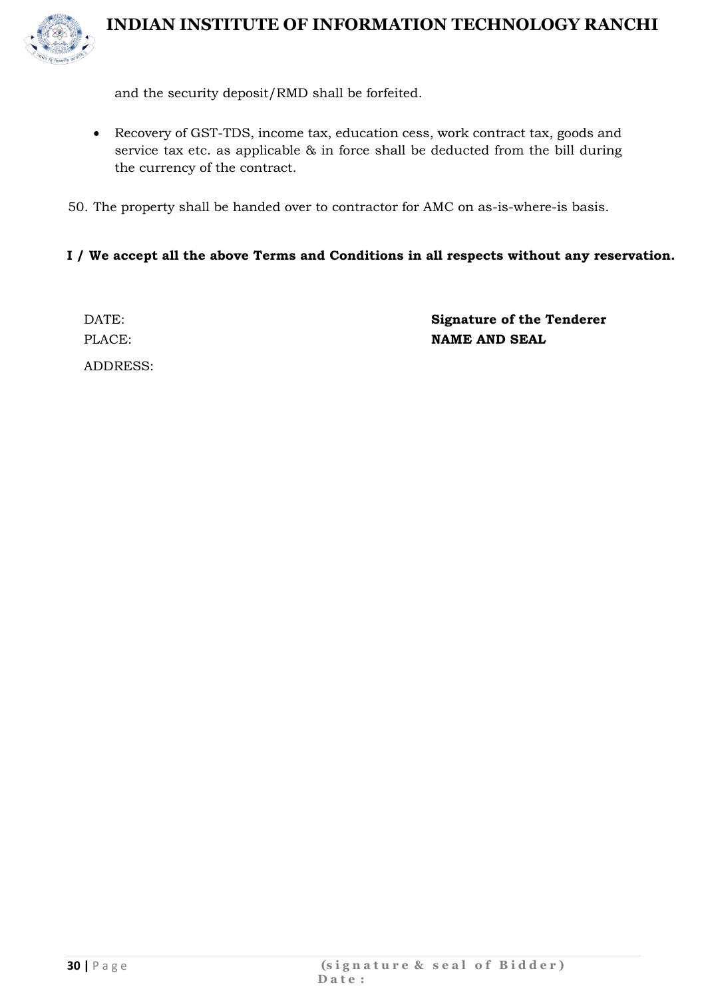

and the security deposit/RMD shall be forfeited.

- Recovery of GST-TDS, income tax, education cess, work contract tax, goods and service tax etc. as applicable & in force shall be deducted from the bill during the currency of the contract.
- 50. The property shall be handed over to contractor for AMC on as-is-where-is basis.

#### **I / We accept all the above Terms and Conditions in all respects without any reservation.**

ADDRESS:

DATE: **Signature of the Tenderer** PLACE: **NAME AND SEAL**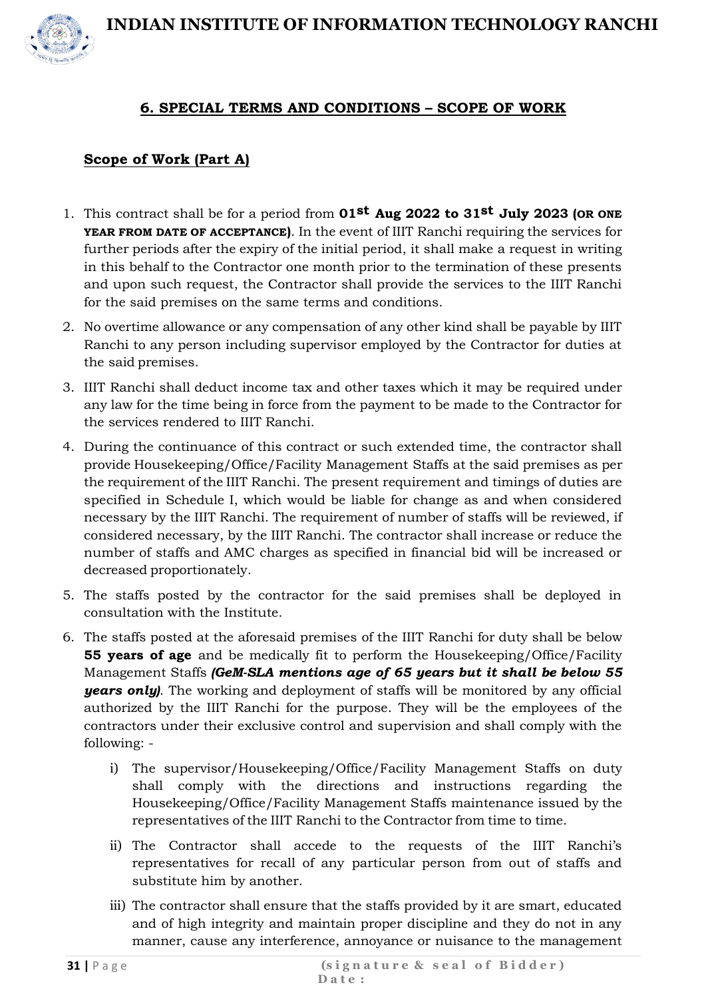

#### **6. SPECIAL TERMS AND CONDITIONS – SCOPE OF WORK**

#### **Scope of Work (Part A)**

- 1. This contract shall be for a period from **01st Aug 2022 to 31st July 2023 (OR ONE YEAR FROM DATE OF ACCEPTANCE)**. In the event of IIIT Ranchi requiring the services for further periods after the expiry of the initial period, it shall make a request in writing in this behalf to the Contractor one month prior to the termination of these presents and upon such request, the Contractor shall provide the services to the IIIT Ranchi for the said premises on the same terms and conditions.
- 2. No overtime allowance or any compensation of any other kind shall be payable by IIIT Ranchi to any person including supervisor employed by the Contractor for duties at the said premises.
- 3. IIIT Ranchi shall deduct income tax and other taxes which it may be required under any law for the time being in force from the payment to be made to the Contractor for the services rendered to IIIT Ranchi.
- 4. During the continuance of this contract or such extended time, the contractor shall provide Housekeeping/Office/Facility Management Staffs at the said premises as per the requirement of the IIIT Ranchi. The present requirement and timings of duties are specified in Schedule I, which would be liable for change as and when considered necessary by the IIIT Ranchi. The requirement of number of staffs will be reviewed, if considered necessary, by the IIIT Ranchi. The contractor shall increase or reduce the number of staffs and AMC charges as specified in financial bid will be increased or decreased proportionately.
- 5. The staffs posted by the contractor for the said premises shall be deployed in consultation with the Institute.
- 6. The staffs posted at the aforesaid premises of the IIIT Ranchi for duty shall be below **55 years of age** and be medically fit to perform the Housekeeping/Office/Facility Management Staffs *(GeM-SLA mentions age of 65 years but it shall be below 55 years only)*. The working and deployment of staffs will be monitored by any official authorized by the IIIT Ranchi for the purpose. They will be the employees of the contractors under their exclusive control and supervision and shall comply with the following:
	- i) The supervisor/Housekeeping/Office/Facility Management Staffs on duty shall comply with the directions and instructions regarding the Housekeeping/Office/Facility Management Staffs maintenance issued by the representatives of the IIIT Ranchi to the Contractor from time to time.
	- ii) The Contractor shall accede to the requests of the IIIT Ranchi's representatives for recall of any particular person from out of staffs and substitute him by another.
	- iii) The contractor shall ensure that the staffs provided by it are smart, educated and of high integrity and maintain proper discipline and they do not in any manner, cause any interference, annoyance or nuisance to the management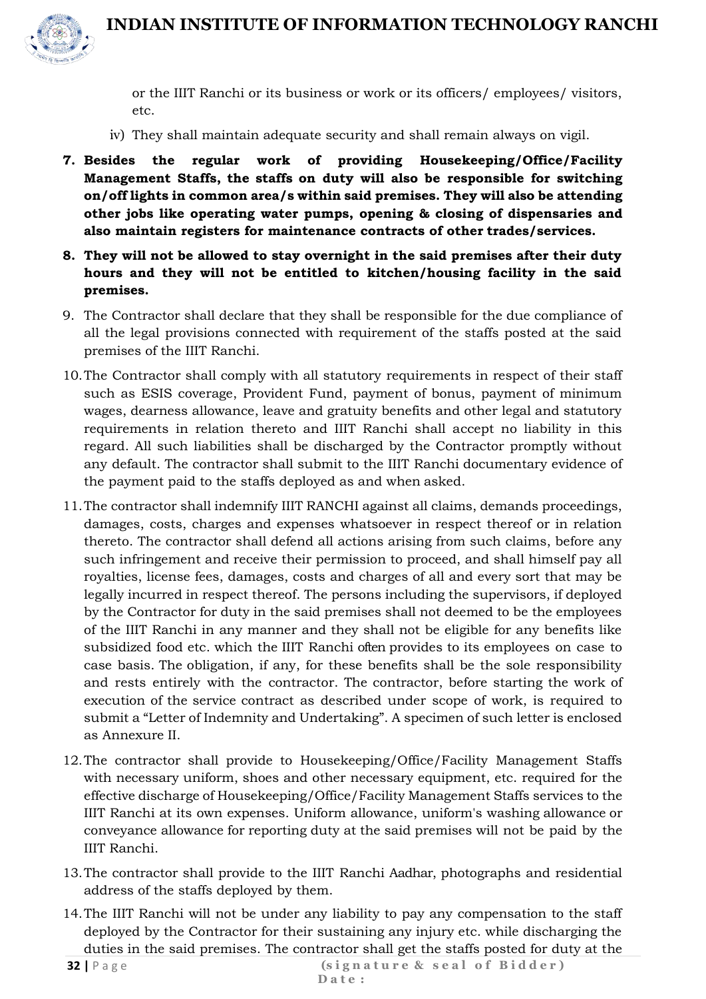

or the IIIT Ranchi or its business or work or its officers/ employees/ visitors, etc.

- iv) They shall maintain adequate security and shall remain always on vigil.
- **7. Besides the regular work of providing Housekeeping/Office/Facility Management Staffs, the staffs on duty will also be responsible for switching on/off lights in common area/s within said premises. They will also be attending other jobs like operating water pumps, opening & closing of dispensaries and also maintain registers for maintenance contracts of other trades/services.**
- **8. They will not be allowed to stay overnight in the said premises after their duty hours and they will not be entitled to kitchen/housing facility in the said premises.**
- 9. The Contractor shall declare that they shall be responsible for the due compliance of all the legal provisions connected with requirement of the staffs posted at the said premises of the IIIT Ranchi.
- 10.The Contractor shall comply with all statutory requirements in respect of their staff such as ESIS coverage, Provident Fund, payment of bonus, payment of minimum wages, dearness allowance, leave and gratuity benefits and other legal and statutory requirements in relation thereto and IIIT Ranchi shall accept no liability in this regard. All such liabilities shall be discharged by the Contractor promptly without any default. The contractor shall submit to the IIIT Ranchi documentary evidence of the payment paid to the staffs deployed as and when asked.
- 11.The contractor shall indemnify IIIT RANCHI against all claims, demands proceedings, damages, costs, charges and expenses whatsoever in respect thereof or in relation thereto. The contractor shall defend all actions arising from such claims, before any such infringement and receive their permission to proceed, and shall himself pay all royalties, license fees, damages, costs and charges of all and every sort that may be legally incurred in respect thereof. The persons including the supervisors, if deployed by the Contractor for duty in the said premises shall not deemed to be the employees of the IIIT Ranchi in any manner and they shall not be eligible for any benefits like subsidized food etc. which the IIIT Ranchi often provides to its employees on case to case basis. The obligation, if any, for these benefits shall be the sole responsibility and rests entirely with the contractor. The contractor, before starting the work of execution of the service contract as described under scope of work, is required to submit a "Letter of Indemnity and Undertaking". A specimen of such letter is enclosed as Annexure II.
- 12.The contractor shall provide to Housekeeping/Office/Facility Management Staffs with necessary uniform, shoes and other necessary equipment, etc. required for the effective discharge of Housekeeping/Office/Facility Management Staffs services to the IIIT Ranchi at its own expenses. Uniform allowance, uniform's washing allowance or conveyance allowance for reporting duty at the said premises will not be paid by the IIIT Ranchi.
- 13.The contractor shall provide to the IIIT Ranchi Aadhar, photographs and residential address of the staffs deployed by them.
- 14.The IIIT Ranchi will not be under any liability to pay any compensation to the staff deployed by the Contractor for their sustaining any injury etc. while discharging the duties in the said premises. The contractor shall get the staffs posted for duty at the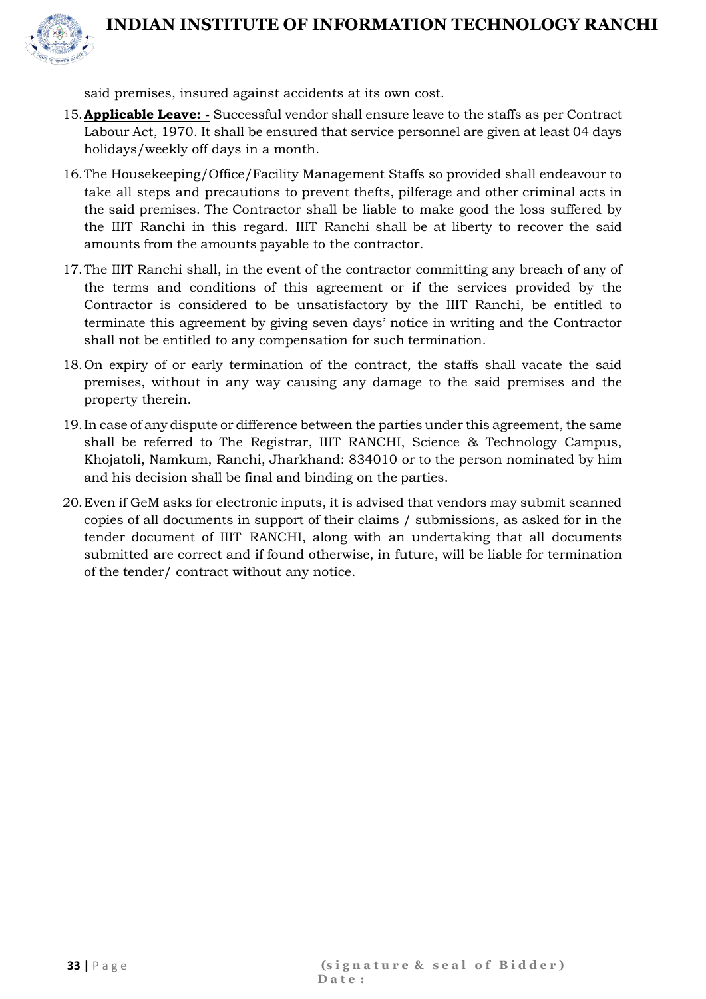

said premises, insured against accidents at its own cost.

- 15.**Applicable Leave: -** Successful vendor shall ensure leave to the staffs as per Contract Labour Act, 1970. It shall be ensured that service personnel are given at least 04 days holidays/weekly off days in a month.
- 16.The Housekeeping/Office/Facility Management Staffs so provided shall endeavour to take all steps and precautions to prevent thefts, pilferage and other criminal acts in the said premises. The Contractor shall be liable to make good the loss suffered by the IIIT Ranchi in this regard. IIIT Ranchi shall be at liberty to recover the said amounts from the amounts payable to the contractor.
- 17.The IIIT Ranchi shall, in the event of the contractor committing any breach of any of the terms and conditions of this agreement or if the services provided by the Contractor is considered to be unsatisfactory by the IIIT Ranchi, be entitled to terminate this agreement by giving seven days' notice in writing and the Contractor shall not be entitled to any compensation for such termination.
- 18.On expiry of or early termination of the contract, the staffs shall vacate the said premises, without in any way causing any damage to the said premises and the property therein.
- 19.In case of any dispute or difference between the parties under this agreement, the same shall be referred to The Registrar, IIIT RANCHI, Science & Technology Campus, Khojatoli, Namkum, Ranchi, Jharkhand: 834010 or to the person nominated by him and his decision shall be final and binding on the parties.
- 20.Even if GeM asks for electronic inputs, it is advised that vendors may submit scanned copies of all documents in support of their claims / submissions, as asked for in the tender document of IIIT RANCHI, along with an undertaking that all documents submitted are correct and if found otherwise, in future, will be liable for termination of the tender/ contract without any notice.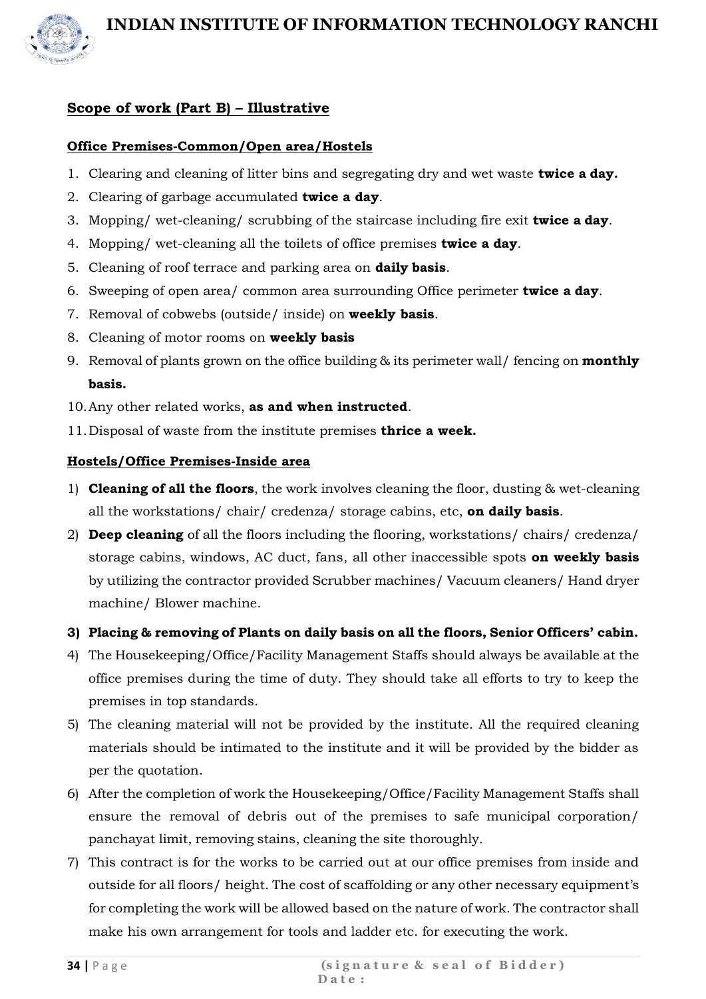

#### **Scope of work (Part B) – Illustrative**

#### **Office Premises-Common/Open area/Hostels**

- 1. Clearing and cleaning of litter bins and segregating dry and wet waste **twice a day.**
- 2. Clearing of garbage accumulated **twice a day**.
- 3. Mopping/ wet-cleaning/ scrubbing of the staircase including fire exit **twice a day**.
- 4. Mopping/ wet-cleaning all the toilets of office premises **twice a day**.
- 5. Cleaning of roof terrace and parking area on **daily basis**.
- 6. Sweeping of open area/ common area surrounding Office perimeter **twice a day**.
- 7. Removal of cobwebs (outside/ inside) on **weekly basis**.
- 8. Cleaning of motor rooms on **weekly basis**
- 9. Removal of plants grown on the office building & its perimeter wall/ fencing on **monthly basis.**
- 10.Any other related works, **as and when instructed**.
- 11.Disposal of waste from the institute premises **thrice a week.**

#### **Hostels/Office Premises-Inside area**

- 1) **Cleaning of all the floors**, the work involves cleaning the floor, dusting & wet-cleaning all the workstations/ chair/ credenza/ storage cabins, etc, **on daily basis**.
- 2) **Deep cleaning** of all the floors including the flooring, workstations/ chairs/ credenza/ storage cabins, windows, AC duct, fans, all other inaccessible spots **on weekly basis**  by utilizing the contractor provided Scrubber machines/ Vacuum cleaners/ Hand dryer machine/ Blower machine.

#### **3) Placing & removing of Plants on daily basis on all the floors, Senior Officers' cabin.**

- 4) The Housekeeping/Office/Facility Management Staffs should always be available at the office premises during the time of duty. They should take all efforts to try to keep the premises in top standards.
- 5) The cleaning material will not be provided by the institute. All the required cleaning materials should be intimated to the institute and it will be provided by the bidder as per the quotation.
- 6) After the completion of work the Housekeeping/Office/Facility Management Staffs shall ensure the removal of debris out of the premises to safe municipal corporation/ panchayat limit, removing stains, cleaning the site thoroughly.
- 7) This contract is for the works to be carried out at our office premises from inside and outside for all floors/ height. The cost of scaffolding or any other necessary equipment's for completing the work will be allowed based on the nature of work. The contractor shall make his own arrangement for tools and ladder etc. for executing the work.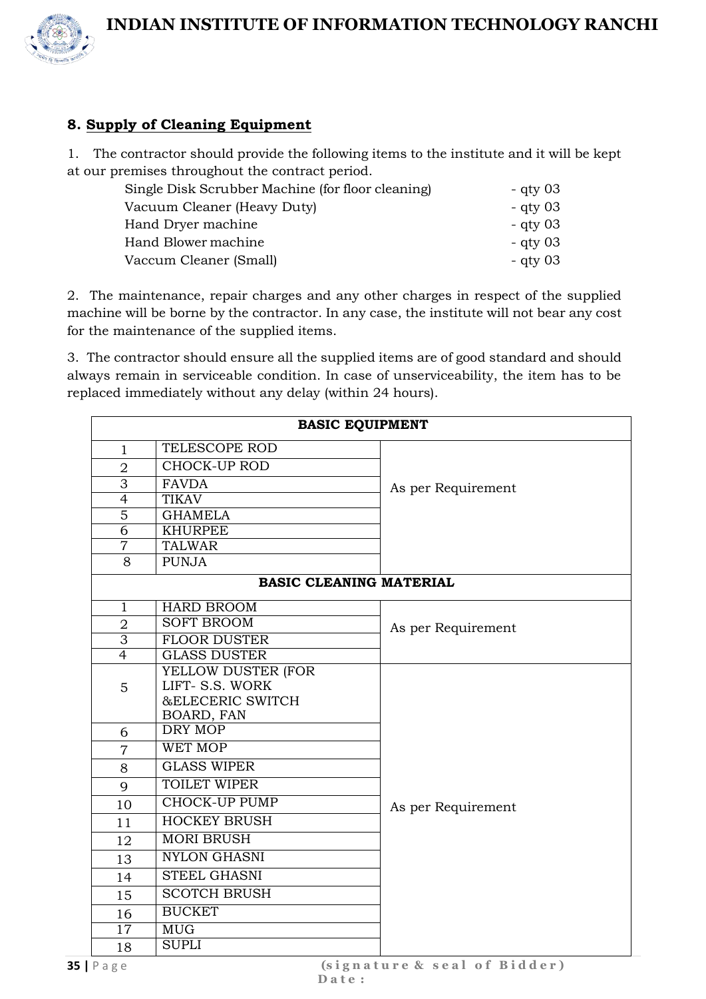

#### **8. Supply of Cleaning Equipment**

1. The contractor should provide the following items to the institute and it will be kept at our premises throughout the contract period.

| - qty $03$ |
|------------|
| - qty $03$ |
| - qty $03$ |
| - qty 03   |
| - qty 03   |
|            |

2. The maintenance, repair charges and any other charges in respect of the supplied machine will be borne by the contractor. In any case, the institute will not bear any cost for the maintenance of the supplied items.

3. The contractor should ensure all the supplied items are of good standard and should always remain in serviceable condition. In case of unserviceability, the item has to be replaced immediately without any delay (within 24 hours).

|                | <b>BASIC EQUIPMENT</b>         |                    |
|----------------|--------------------------------|--------------------|
| $\mathbf{1}$   | TELESCOPE ROD                  |                    |
| $\overline{2}$ | <b>CHOCK-UP ROD</b>            |                    |
| 3              | <b>FAVDA</b>                   | As per Requirement |
| $\overline{4}$ | TIKAV                          |                    |
| $\overline{5}$ | <b>GHAMELA</b>                 |                    |
| $\overline{6}$ | <b>KHURPEE</b>                 |                    |
| $\overline{7}$ | <b>TALWAR</b>                  |                    |
| 8              | <b>PUNJA</b>                   |                    |
|                | <b>BASIC CLEANING MATERIAL</b> |                    |
| $\mathbf{1}$   | <b>HARD BROOM</b>              |                    |
| $\overline{2}$ | <b>SOFT BROOM</b>              | As per Requirement |
| $\overline{3}$ | <b>FLOOR DUSTER</b>            |                    |
| $\overline{4}$ | <b>GLASS DUSTER</b>            |                    |
|                | YELLOW DUSTER (FOR             |                    |
| 5              | LIFT- S.S. WORK                |                    |
|                | <b>&amp;ELECERIC SWITCH</b>    |                    |
| 6              | BOARD, FAN<br>DRY MOP          |                    |
| $\overline{7}$ | <b>WET MOP</b>                 |                    |
| 8              | <b>GLASS WIPER</b>             |                    |
|                | <b>TOILET WIPER</b>            |                    |
| 9              | <b>CHOCK-UP PUMP</b>           |                    |
| 10             |                                | As per Requirement |
| 11             | <b>HOCKEY BRUSH</b>            |                    |
| 12             | <b>MORI BRUSH</b>              |                    |
| 13             | <b>NYLON GHASNI</b>            |                    |
| 14             | <b>STEEL GHASNI</b>            |                    |
| 15             | <b>SCOTCH BRUSH</b>            |                    |
| 16             | <b>BUCKET</b>                  |                    |
| 17             | <b>MUG</b>                     |                    |
| 18             | <b>SUPLI</b>                   |                    |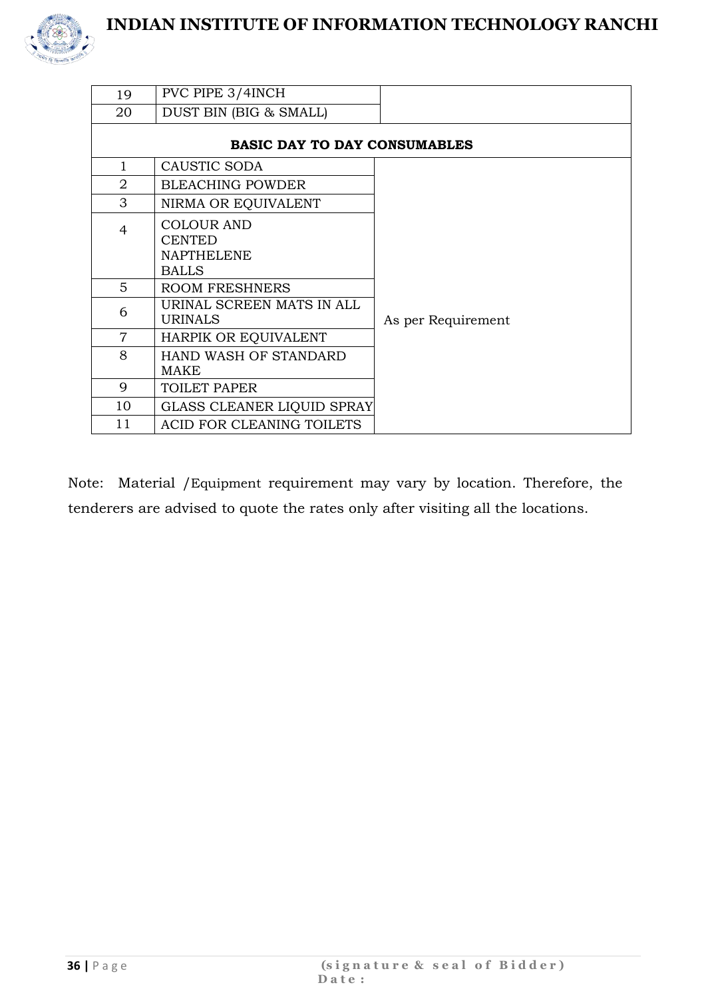

| 19             | PVC PIPE 3/4INCH                                                        |                    |
|----------------|-------------------------------------------------------------------------|--------------------|
| 20             | DUST BIN (BIG & SMALL)                                                  |                    |
|                | <b>BASIC DAY TO DAY CONSUMABLES</b>                                     |                    |
| 1              | CAUSTIC SODA                                                            |                    |
| 2              | <b>BLEACHING POWDER</b>                                                 |                    |
| 3              | NIRMA OR EQUIVALENT                                                     |                    |
| $\overline{4}$ | <b>COLOUR AND</b><br><b>CENTED</b><br><b>NAPTHELENE</b><br><b>BALLS</b> |                    |
| 5              | <b>ROOM FRESHNERS</b>                                                   |                    |
| 6              | URINAL SCREEN MATS IN ALL<br><b>URINALS</b>                             | As per Requirement |
| $\overline{7}$ | HARPIK OR EQUIVALENT                                                    |                    |
| 8              | HAND WASH OF STANDARD<br><b>MAKE</b>                                    |                    |
| 9              | <b>TOILET PAPER</b>                                                     |                    |
| 10             | <b>GLASS CLEANER LIQUID SPRAY</b>                                       |                    |
| 11             | ACID FOR CLEANING TOILETS                                               |                    |

Note: Material /Equipment requirement may vary by location. Therefore, the tenderers are advised to quote the rates only after visiting all the locations.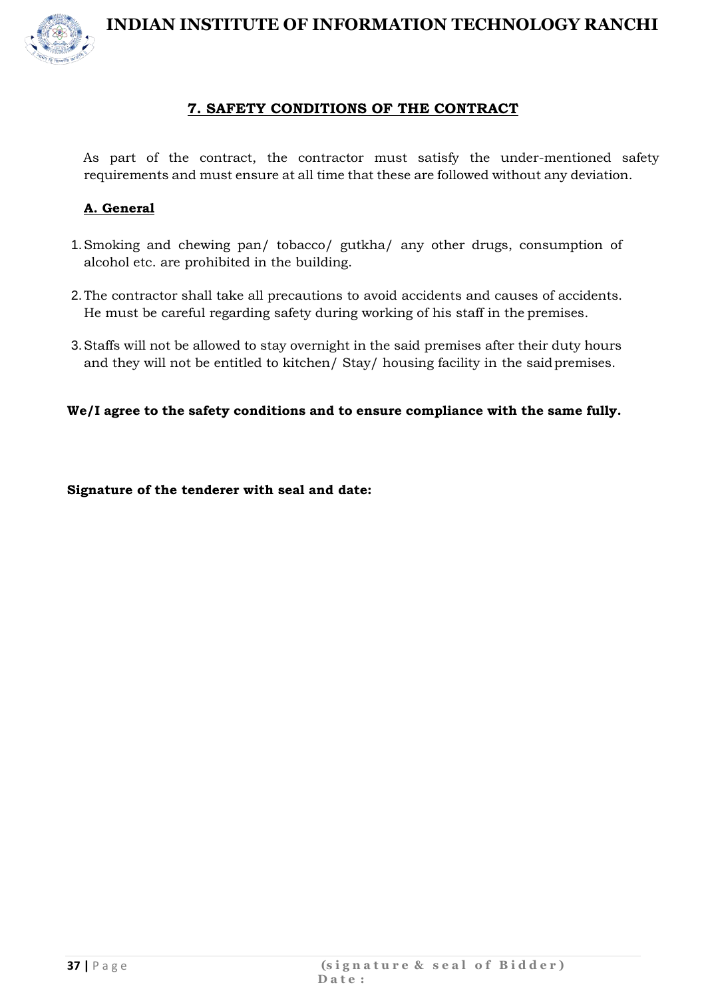

#### **7. SAFETY CONDITIONS OF THE CONTRACT**

As part of the contract, the contractor must satisfy the under-mentioned safety requirements and must ensure at all time that these are followed without any deviation.

#### **A. General**

- 1.Smoking and chewing pan/ tobacco/ gutkha/ any other drugs, consumption of alcohol etc. are prohibited in the building.
- 2.The contractor shall take all precautions to avoid accidents and causes of accidents. He must be careful regarding safety during working of his staff in the premises.
- 3.Staffs will not be allowed to stay overnight in the said premises after their duty hours and they will not be entitled to kitchen/ Stay/ housing facility in the saidpremises.

**We/I agree to the safety conditions and to ensure compliance with the same fully.**

**Signature of the tenderer with seal and date:**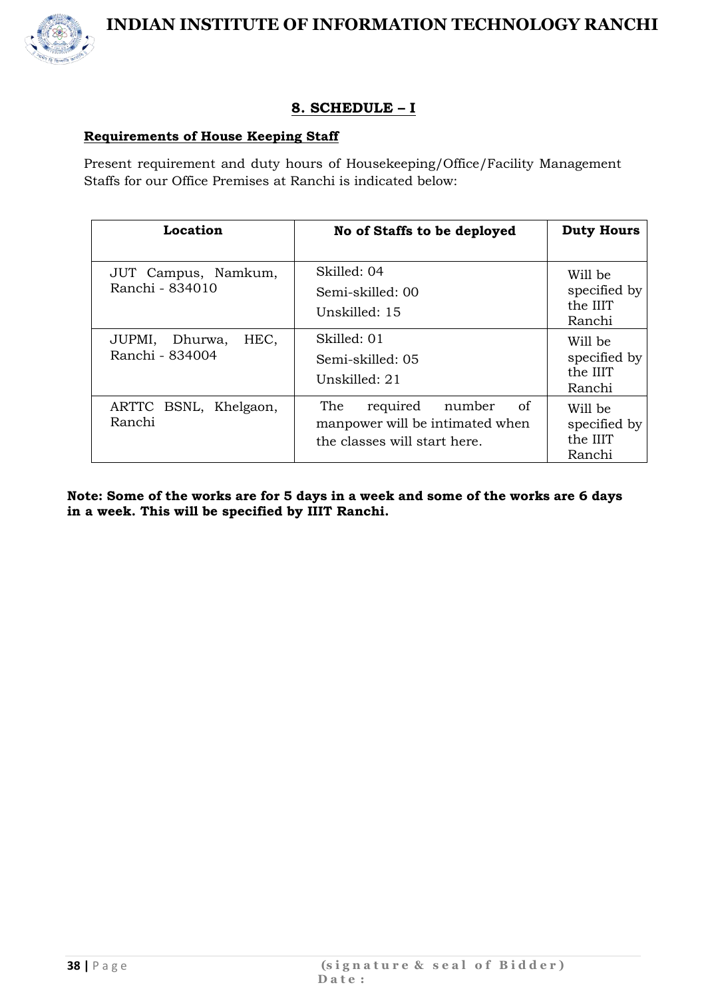

#### **8. SCHEDULE – I**

#### **Requirements of House Keeping Staff**

Present requirement and duty hours of Housekeeping/Office/Facility Management Staffs for our Office Premises at Ranchi is indicated below:

| Location                                  | No of Staffs to be deployed                                                                        | <b>Duty Hours</b>                             |
|-------------------------------------------|----------------------------------------------------------------------------------------------------|-----------------------------------------------|
| JUT Campus, Namkum,<br>Ranchi - 834010    | Skilled: 04<br>Semi-skilled: 00<br>Unskilled: 15                                                   | Will be<br>specified by<br>the IIIT<br>Ranchi |
| HEC,<br>JUPMI, Dhurwa,<br>Ranchi - 834004 | Skilled: 01<br>Semi-skilled: 05<br>Unskilled: 21                                                   | Will be<br>specified by<br>the IIIT<br>Ranchi |
| ARTTC BSNL, Khelgaon,<br>Ranchi           | The<br>of<br>required<br>number<br>manpower will be intimated when<br>the classes will start here. | Will be<br>specified by<br>the IIIT<br>Ranchi |

**Note: Some of the works are for 5 days in a week and some of the works are 6 days in a week. This will be specified by IIIT Ranchi.**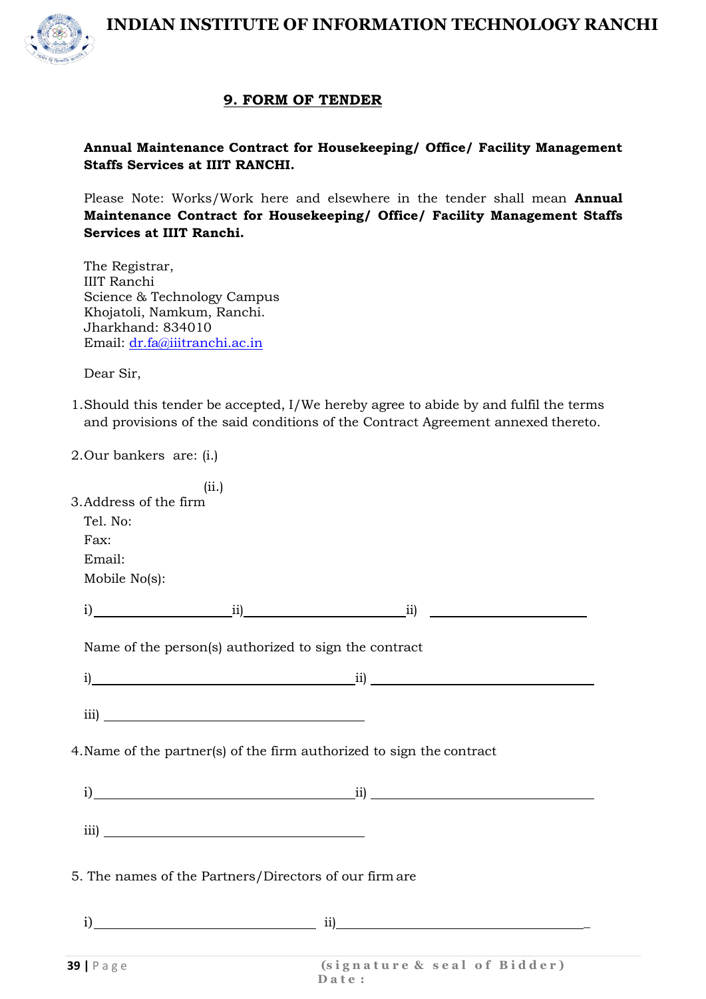

#### **9. FORM OF TENDER**

#### **Annual Maintenance Contract for Housekeeping/ Office/ Facility Management Staffs Services at IIIT RANCHI.**

Please Note: Works/Work here and elsewhere in the tender shall mean **Annual Maintenance Contract for Housekeeping/ Office/ Facility Management Staffs Services at IIIT Ranchi.**

The Registrar, IIIT Ranchi Science & Technology Campus Khojatoli, Namkum, Ranchi. Jharkhand: 834010 Email: [dr.fa@iiitranchi.ac.in](mailto:dr.fa@iiitranchi.ac.in)

Dear Sir,

1.Should this tender be accepted, I/We hereby agree to abide by and fulfil the terms and provisions of the said conditions of the Contract Agreement annexed thereto.

2.Our bankers are: (i.)

|                                                                       | (ii.) |                                              |  |
|-----------------------------------------------------------------------|-------|----------------------------------------------|--|
| 3. Address of the firm                                                |       |                                              |  |
| Tel. No:                                                              |       |                                              |  |
| Fax:                                                                  |       |                                              |  |
| Email:                                                                |       |                                              |  |
| Mobile No(s):                                                         |       |                                              |  |
|                                                                       |       | $i)$ $\qquad \qquad ii)$ $\qquad \qquad ii)$ |  |
| Name of the person(s) authorized to sign the contract                 |       |                                              |  |
|                                                                       |       |                                              |  |
|                                                                       |       |                                              |  |
| 4. Name of the partner(s) of the firm authorized to sign the contract |       |                                              |  |
|                                                                       |       | $i)$ $ii)$                                   |  |
|                                                                       |       |                                              |  |
| 5. The names of the Partners/Directors of our firm are                |       |                                              |  |
|                                                                       |       | $i)$ ii)                                     |  |
|                                                                       |       |                                              |  |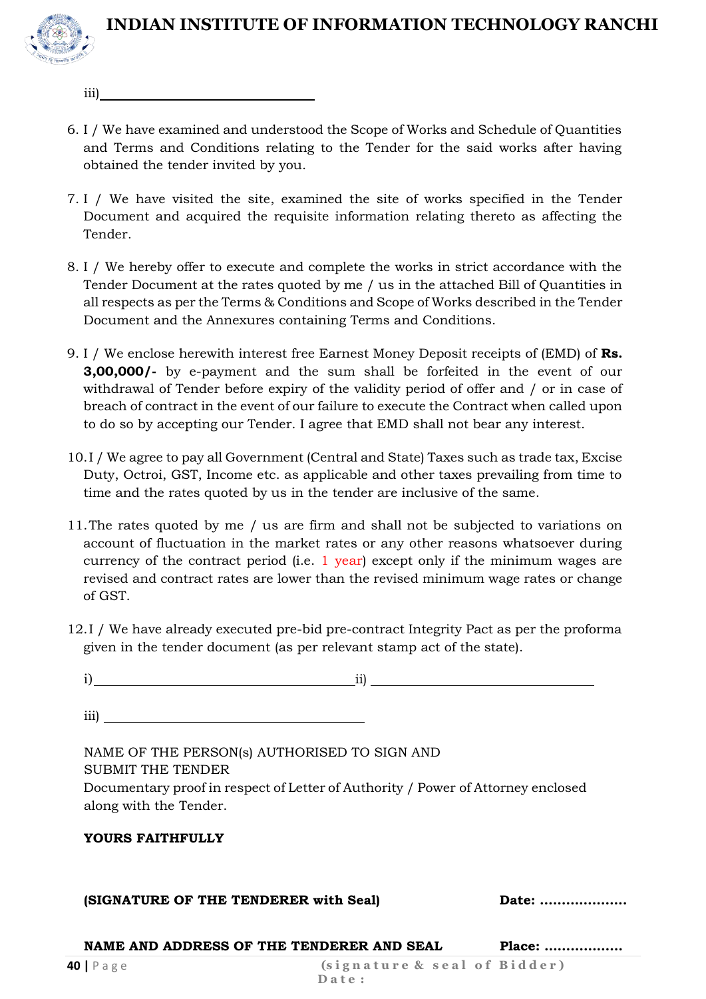

iii)

- 6. I / We have examined and understood the Scope of Works and Schedule of Quantities and Terms and Conditions relating to the Tender for the said works after having obtained the tender invited by you.
- 7. I / We have visited the site, examined the site of works specified in the Tender Document and acquired the requisite information relating thereto as affecting the Tender.
- 8. I / We hereby offer to execute and complete the works in strict accordance with the Tender Document at the rates quoted by me / us in the attached Bill of Quantities in all respects as per the Terms & Conditions and Scope of Works described in the Tender Document and the Annexures containing Terms and Conditions.
- 9. I / We enclose herewith interest free Earnest Money Deposit receipts of (EMD) of **Rs. 3,00,000/-** by e-payment and the sum shall be forfeited in the event of our withdrawal of Tender before expiry of the validity period of offer and / or in case of breach of contract in the event of our failure to execute the Contract when called upon to do so by accepting our Tender. I agree that EMD shall not bear any interest.
- 10.I / We agree to pay all Government (Central and State) Taxes such as trade tax, Excise Duty, Octroi, GST, Income etc. as applicable and other taxes prevailing from time to time and the rates quoted by us in the tender are inclusive of the same.
- 11.The rates quoted by me / us are firm and shall not be subjected to variations on account of fluctuation in the market rates or any other reasons whatsoever during currency of the contract period (i.e. 1 year) except only if the minimum wages are revised and contract rates are lower than the revised minimum wage rates or change of GST.
- 12.I / We have already executed pre-bid pre-contract Integrity Pact as per the proforma given in the tender document (as per relevant stamp act of the state).

| ii)                                                                                                        |       |
|------------------------------------------------------------------------------------------------------------|-------|
| iii)                                                                                                       |       |
| NAME OF THE PERSON(s) AUTHORISED TO SIGN AND<br><b>SUBMIT THE TENDER</b>                                   |       |
| Documentary proof in respect of Letter of Authority / Power of Attorney enclosed<br>along with the Tender. |       |
| <b>YOURS FAITHFULLY</b>                                                                                    |       |
| (SIGNATURE OF THE TENDERER with Seal)                                                                      | Date: |
|                                                                                                            |       |

**NAME AND ADDRESS OF THE TENDERER AND SEAL Place: ………………**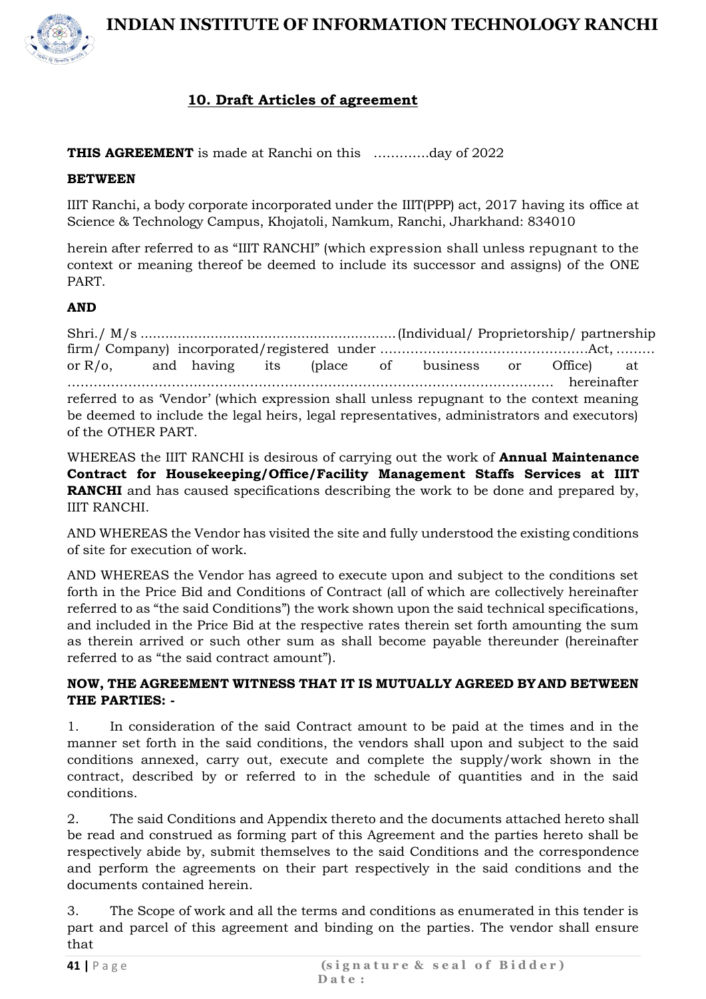



#### **10. Draft Articles of agreement**

**THIS AGREEMENT** is made at Ranchi on this ………….day of 2022

#### **BETWEEN**

IIIT Ranchi, a body corporate incorporated under the IIIT(PPP) act, 2017 having its office at Science & Technology Campus, Khojatoli, Namkum, Ranchi, Jharkhand: 834010

herein after referred to as "IIIT RANCHI" (which expression shall unless repugnant to the context or meaning thereof be deemed to include its successor and assigns) of the ONE PART.

#### **AND**

Shri./ M/s ..............................................................(Individual/ Proprietorship/ partnership firm/ Company) incorporated/registered under …………………………………………Act, ……… or R/o, and having its (place of business or Office) at …………………………………………………………………………………………………. hereinafter referred to as 'Vendor' (which expression shall unless repugnant to the context meaning be deemed to include the legal heirs, legal representatives, administrators and executors) of the OTHER PART.

WHEREAS the IIIT RANCHI is desirous of carrying out the work of **Annual Maintenance Contract for Housekeeping/Office/Facility Management Staffs Services at IIIT RANCHI** and has caused specifications describing the work to be done and prepared by, IIIT RANCHI.

AND WHEREAS the Vendor has visited the site and fully understood the existing conditions of site for execution of work.

AND WHEREAS the Vendor has agreed to execute upon and subject to the conditions set forth in the Price Bid and Conditions of Contract (all of which are collectively hereinafter referred to as "the said Conditions") the work shown upon the said technical specifications, and included in the Price Bid at the respective rates therein set forth amounting the sum as therein arrived or such other sum as shall become payable thereunder (hereinafter referred to as "the said contract amount").

#### **NOW, THE AGREEMENT WITNESS THAT IT IS MUTUALLY AGREED BYAND BETWEEN THE PARTIES: -**

1. In consideration of the said Contract amount to be paid at the times and in the manner set forth in the said conditions, the vendors shall upon and subject to the said conditions annexed, carry out, execute and complete the supply/work shown in the contract, described by or referred to in the schedule of quantities and in the said conditions.

2. The said Conditions and Appendix thereto and the documents attached hereto shall be read and construed as forming part of this Agreement and the parties hereto shall be respectively abide by, submit themselves to the said Conditions and the correspondence and perform the agreements on their part respectively in the said conditions and the documents contained herein.

3. The Scope of work and all the terms and conditions as enumerated in this tender is part and parcel of this agreement and binding on the parties. The vendor shall ensure that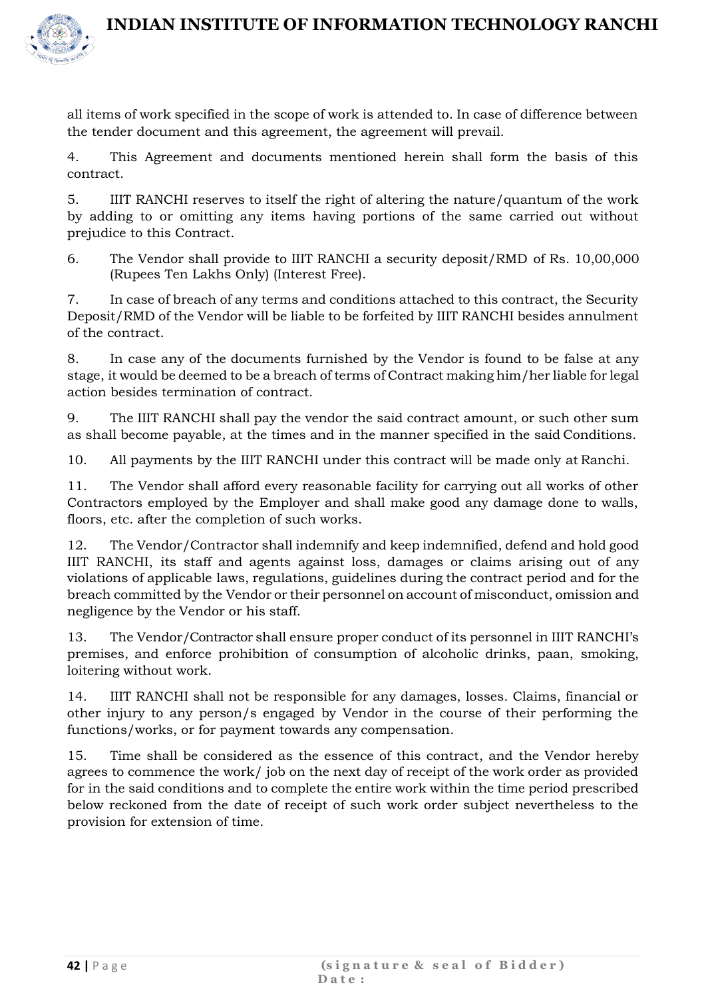

all items of work specified in the scope of work is attended to. In case of difference between the tender document and this agreement, the agreement will prevail.

4. This Agreement and documents mentioned herein shall form the basis of this contract.

5. IIIT RANCHI reserves to itself the right of altering the nature/quantum of the work by adding to or omitting any items having portions of the same carried out without prejudice to this Contract.

6. The Vendor shall provide to IIIT RANCHI a security deposit/RMD of Rs. 10,00,000 (Rupees Ten Lakhs Only) (Interest Free).

7. In case of breach of any terms and conditions attached to this contract, the Security Deposit/RMD of the Vendor will be liable to be forfeited by IIIT RANCHI besides annulment of the contract.

8. In case any of the documents furnished by the Vendor is found to be false at any stage, it would be deemed to be a breach of terms of Contract making him/her liable for legal action besides termination of contract.

9. The IIIT RANCHI shall pay the vendor the said contract amount, or such other sum as shall become payable, at the times and in the manner specified in the said Conditions.

10. All payments by the IIIT RANCHI under this contract will be made only at Ranchi.

11. The Vendor shall afford every reasonable facility for carrying out all works of other Contractors employed by the Employer and shall make good any damage done to walls, floors, etc. after the completion of such works.

12. The Vendor/Contractor shall indemnify and keep indemnified, defend and hold good IIIT RANCHI, its staff and agents against loss, damages or claims arising out of any violations of applicable laws, regulations, guidelines during the contract period and for the breach committed by the Vendor or their personnel on account of misconduct, omission and negligence by the Vendor or his staff.

13. The Vendor/Contractor shall ensure proper conduct of its personnel in IIIT RANCHI's premises, and enforce prohibition of consumption of alcoholic drinks, paan, smoking, loitering without work.

14. IIIT RANCHI shall not be responsible for any damages, losses. Claims, financial or other injury to any person/s engaged by Vendor in the course of their performing the functions/works, or for payment towards any compensation.

15. Time shall be considered as the essence of this contract, and the Vendor hereby agrees to commence the work/ job on the next day of receipt of the work order as provided for in the said conditions and to complete the entire work within the time period prescribed below reckoned from the date of receipt of such work order subject nevertheless to the provision for extension of time.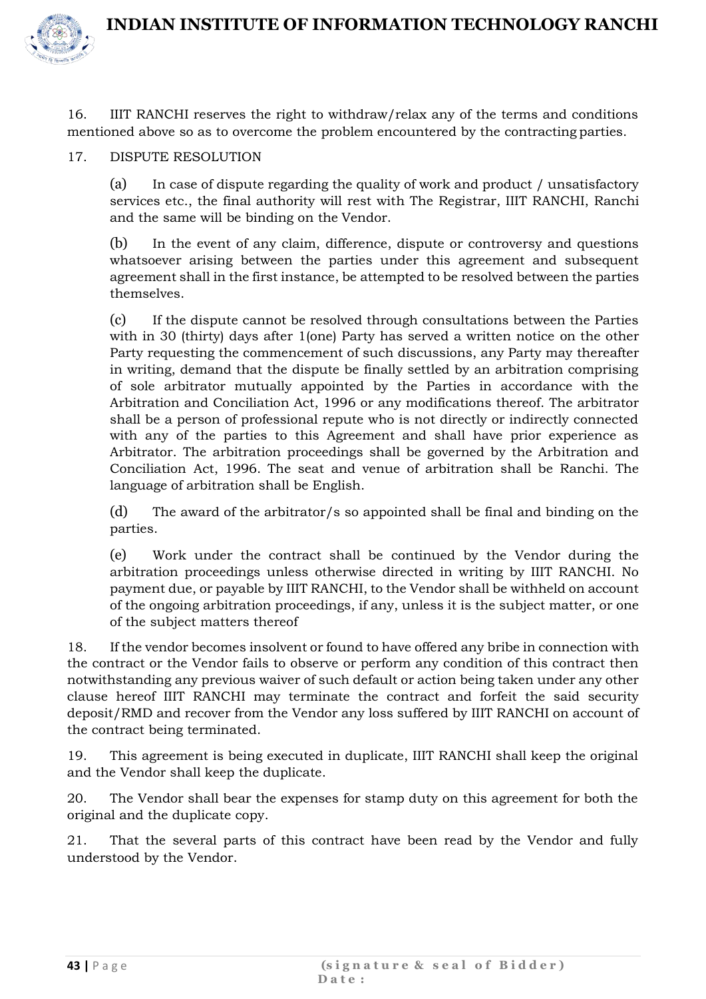

16. IIIT RANCHI reserves the right to withdraw/relax any of the terms and conditions mentioned above so as to overcome the problem encountered by the contracting parties.

#### 17. DISPUTE RESOLUTION

(a) In case of dispute regarding the quality of work and product / unsatisfactory services etc., the final authority will rest with The Registrar, IIIT RANCHI, Ranchi and the same will be binding on the Vendor.

(b) In the event of any claim, difference, dispute or controversy and questions whatsoever arising between the parties under this agreement and subsequent agreement shall in the first instance, be attempted to be resolved between the parties themselves.

(c) If the dispute cannot be resolved through consultations between the Parties with in 30 (thirty) days after 1(one) Party has served a written notice on the other Party requesting the commencement of such discussions, any Party may thereafter in writing, demand that the dispute be finally settled by an arbitration comprising of sole arbitrator mutually appointed by the Parties in accordance with the Arbitration and Conciliation Act, 1996 or any modifications thereof. The arbitrator shall be a person of professional repute who is not directly or indirectly connected with any of the parties to this Agreement and shall have prior experience as Arbitrator. The arbitration proceedings shall be governed by the Arbitration and Conciliation Act, 1996. The seat and venue of arbitration shall be Ranchi. The language of arbitration shall be English.

(d) The award of the arbitrator/s so appointed shall be final and binding on the parties.

(e) Work under the contract shall be continued by the Vendor during the arbitration proceedings unless otherwise directed in writing by IIIT RANCHI. No payment due, or payable by IIIT RANCHI, to the Vendor shall be withheld on account of the ongoing arbitration proceedings, if any, unless it is the subject matter, or one of the subject matters thereof

18. If the vendor becomes insolvent or found to have offered any bribe in connection with the contract or the Vendor fails to observe or perform any condition of this contract then notwithstanding any previous waiver of such default or action being taken under any other clause hereof IIIT RANCHI may terminate the contract and forfeit the said security deposit/RMD and recover from the Vendor any loss suffered by IIIT RANCHI on account of the contract being terminated.

19. This agreement is being executed in duplicate, IIIT RANCHI shall keep the original and the Vendor shall keep the duplicate.

20. The Vendor shall bear the expenses for stamp duty on this agreement for both the original and the duplicate copy.

21. That the several parts of this contract have been read by the Vendor and fully understood by the Vendor.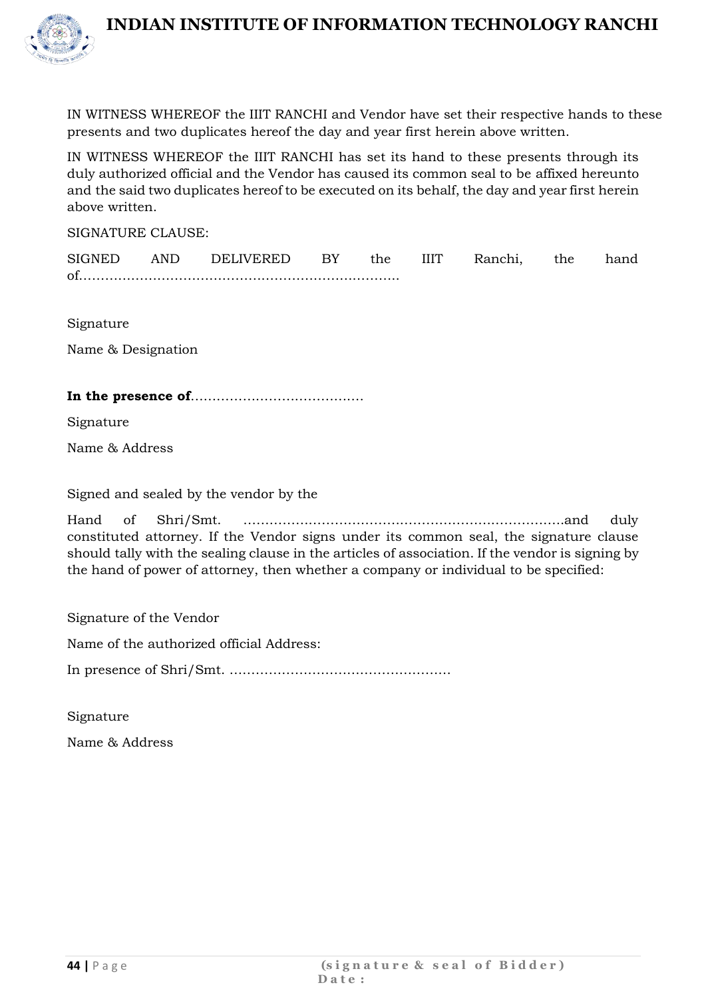



IN WITNESS WHEREOF the IIIT RANCHI and Vendor have set their respective hands to these presents and two duplicates hereof the day and year first herein above written.

IN WITNESS WHEREOF the IIIT RANCHI has set its hand to these presents through its duly authorized official and the Vendor has caused its common seal to be affixed hereunto and the said two duplicates hereof to be executed on its behalf, the day and year first herein above written.

SIGNATURE CLAUSE:

| <b>SIGNED</b> | AND | DELIVERED                                                                                                            | the | Ranchi. | the | hand |
|---------------|-----|----------------------------------------------------------------------------------------------------------------------|-----|---------|-----|------|
| ∩f            |     | <u> Uliinii iliin aastaa maan aastaa marraa marraa marraa marraa marraa marraa marraa marraa marraa marraa marra</u> |     |         |     |      |

Signature

Name & Designation

#### **In the presence of**………………………………….

Signature

Name & Address

Signed and sealed by the vendor by the

Hand of Shri/Smt. ………………………………………………………………..and duly constituted attorney. If the Vendor signs under its common seal, the signature clause should tally with the sealing clause in the articles of association. If the vendor is signing by the hand of power of attorney, then whether a company or individual to be specified:

Signature of the Vendor

Name of the authorized official Address:

In presence of Shri/Smt. ……………………………………………

Signature

Name & Address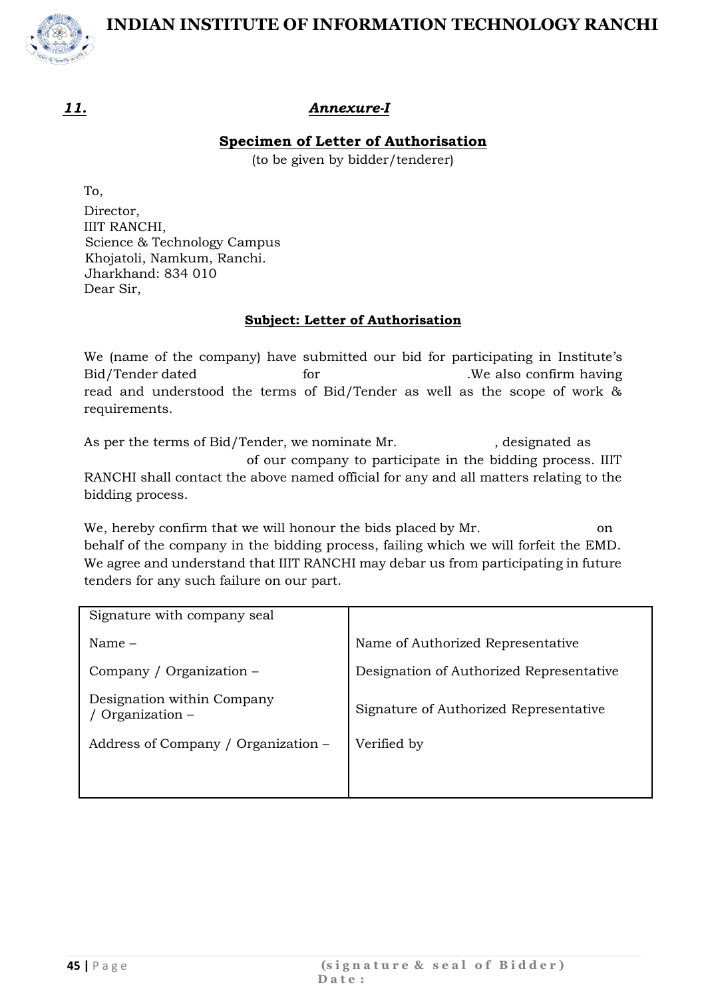

#### *11. Annexure-I*

#### **Specimen of Letter of Authorisation**

(to be given by bidder/tenderer)

To, Director, IIIT RANCHI, Science & Technology Campus Khojatoli, Namkum, Ranchi. Jharkhand: 834 010 Dear Sir,

#### **Subject: Letter of Authorisation**

We (name of the company) have submitted our bid for participating in Institute's Bid/Tender dated for the same of the set of the set of the set of the set of the set of the set of the set of the set of the set of the set of the set of the set of the set of the set of the set of the set of the set of th read and understood the terms of Bid/Tender as well as the scope of work & requirements.

As per the terms of Bid/Tender, we nominate Mr. , designated as of our company to participate in the bidding process. IIIT RANCHI shall contact the above named official for any and all matters relating to the bidding process.

We, hereby confirm that we will honour the bids placed by Mr. on behalf of the company in the bidding process, failing which we will forfeit the EMD. We agree and understand that IIIT RANCHI may debar us from participating in future tenders for any such failure on our part.

| Signature with company seal                  |                                          |
|----------------------------------------------|------------------------------------------|
| Name $-$                                     | Name of Authorized Representative        |
| Company / Organization -                     | Designation of Authorized Representative |
| Designation within Company<br>Organization – | Signature of Authorized Representative   |
| Address of Company / Organization –          | Verified by                              |
|                                              |                                          |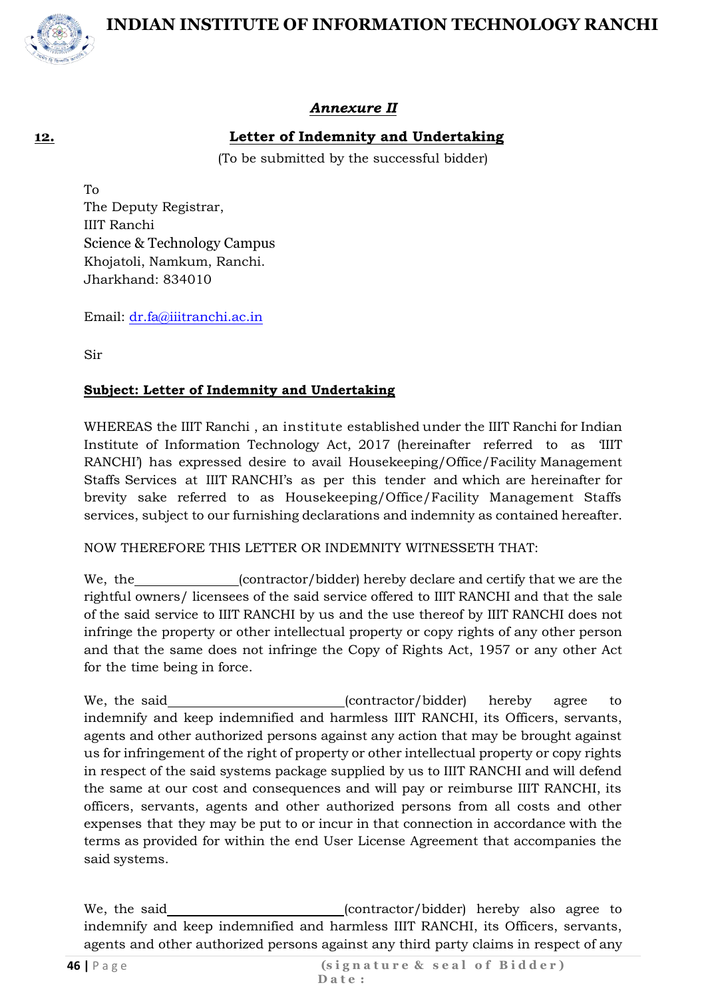



#### *Annexure II*

#### **12. Letter of Indemnity and Undertaking**

(To be submitted by the successful bidder)

To The Deputy Registrar, IIIT Ranchi Science & Technology Campus Khojatoli, Namkum, Ranchi. Jharkhand: 834010

Email: [dr.fa@iiitranchi.ac.in](mailto:dr.fa@iiitranchi.ac.in)

Sir

#### **Subject: Letter of Indemnity and Undertaking**

WHEREAS the IIIT Ranchi , an institute established under the IIIT Ranchi for Indian Institute of Information Technology Act, 2017 (hereinafter referred to as 'IIIT RANCHI') has expressed desire to avail Housekeeping/Office/Facility Management Staffs Services at IIIT RANCHI's as per this tender and which are hereinafter for brevity sake referred to as Housekeeping/Office/Facility Management Staffs services, subject to our furnishing declarations and indemnity as contained hereafter.

NOW THEREFORE THIS LETTER OR INDEMNITY WITNESSETH THAT:

We, the (contractor/bidder) hereby declare and certify that we are the rightful owners/ licensees of the said service offered to IIIT RANCHI and that the sale of the said service to IIIT RANCHI by us and the use thereof by IIIT RANCHI does not infringe the property or other intellectual property or copy rights of any other person and that the same does not infringe the Copy of Rights Act, 1957 or any other Act for the time being in force.

We, the said  $(contractor/bidder)$  hereby agree to indemnify and keep indemnified and harmless IIIT RANCHI, its Officers, servants, agents and other authorized persons against any action that may be brought against us for infringement of the right of property or other intellectual property or copy rights in respect of the said systems package supplied by us to IIIT RANCHI and will defend the same at our cost and consequences and will pay or reimburse IIIT RANCHI, its officers, servants, agents and other authorized persons from all costs and other expenses that they may be put to or incur in that connection in accordance with the terms as provided for within the end User License Agreement that accompanies the said systems.

We, the said (contractor/bidder) hereby also agree to indemnify and keep indemnified and harmless IIIT RANCHI, its Officers, servants, agents and other authorized persons against any third party claims in respect of any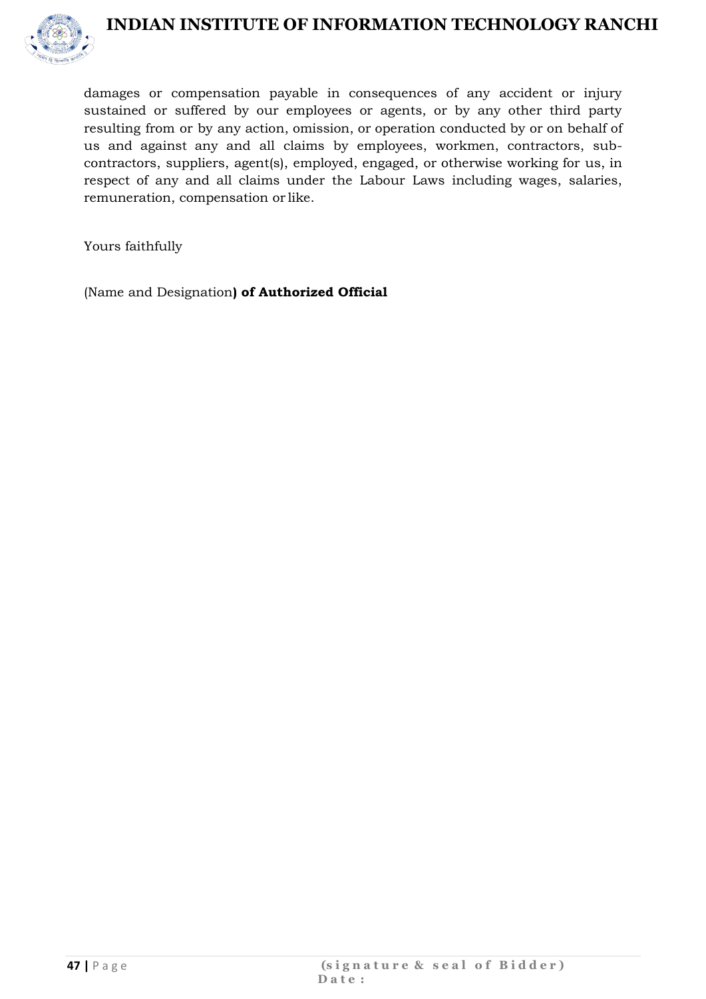

damages or compensation payable in consequences of any accident or injury sustained or suffered by our employees or agents, or by any other third party resulting from or by any action, omission, or operation conducted by or on behalf of us and against any and all claims by employees, workmen, contractors, subcontractors, suppliers, agent(s), employed, engaged, or otherwise working for us, in respect of any and all claims under the Labour Laws including wages, salaries, remuneration, compensation or like.

Yours faithfully

(Name and Designation**) of Authorized Official**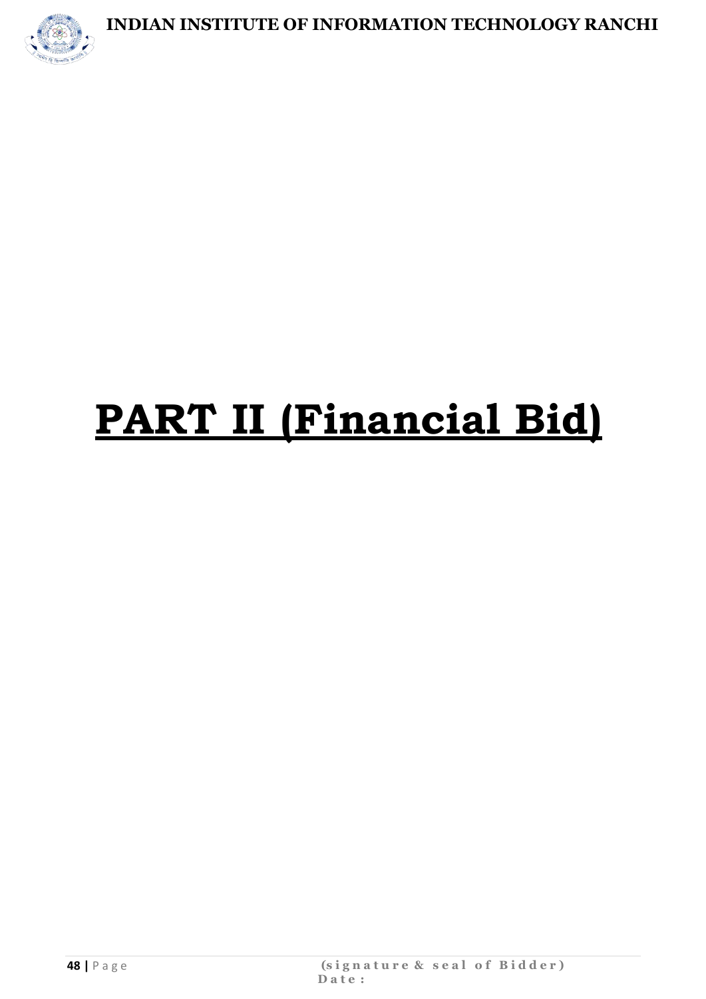

# **PART II (Financial Bid)**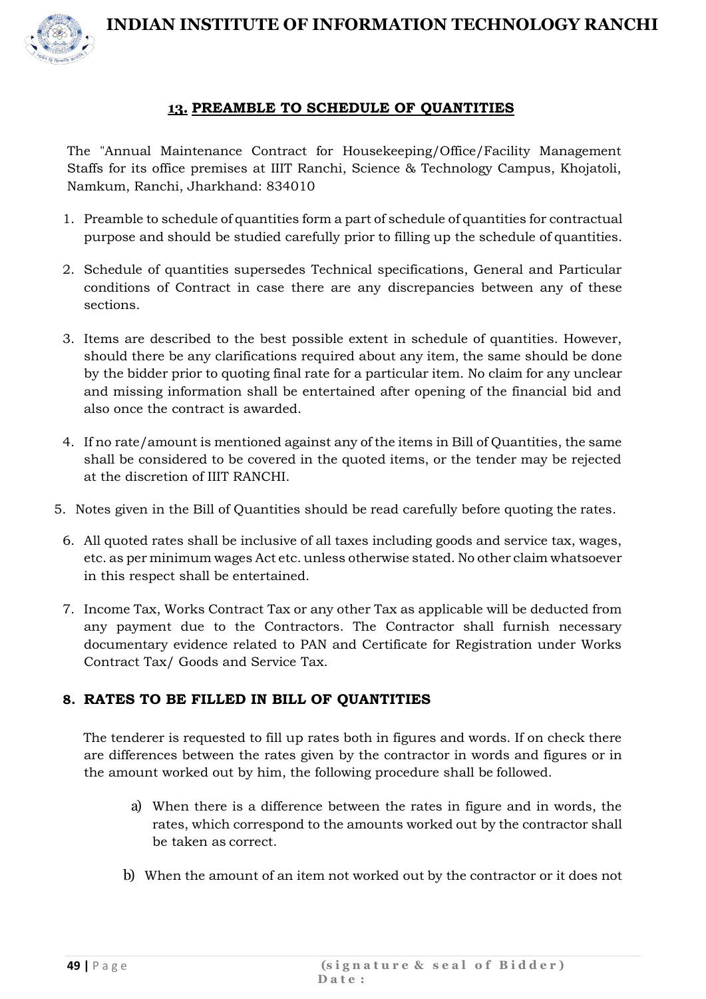



#### **13. PREAMBLE TO SCHEDULE OF QUANTITIES**

The "Annual Maintenance Contract for Housekeeping/Office/Facility Management Staffs for its office premises at IIIT Ranchi, Science & Technology Campus, Khojatoli, Namkum, Ranchi, Jharkhand: 834010

- 1. Preamble to schedule of quantities form a part of schedule of quantities for contractual purpose and should be studied carefully prior to filling up the schedule of quantities.
- 2. Schedule of quantities supersedes Technical specifications, General and Particular conditions of Contract in case there are any discrepancies between any of these sections.
- 3. Items are described to the best possible extent in schedule of quantities. However, should there be any clarifications required about any item, the same should be done by the bidder prior to quoting final rate for a particular item. No claim for any unclear and missing information shall be entertained after opening of the financial bid and also once the contract is awarded.
- 4. If no rate/amount is mentioned against any of the items in Bill of Quantities, the same shall be considered to be covered in the quoted items, or the tender may be rejected at the discretion of IIIT RANCHI.
- 5. Notes given in the Bill of Quantities should be read carefully before quoting the rates.
	- 6. All quoted rates shall be inclusive of all taxes including goods and service tax, wages, etc. as per minimum wages Act etc. unless otherwise stated. No other claim whatsoever in this respect shall be entertained.
	- 7. Income Tax, Works Contract Tax or any other Tax as applicable will be deducted from any payment due to the Contractors. The Contractor shall furnish necessary documentary evidence related to PAN and Certificate for Registration under Works Contract Tax/ Goods and Service Tax.

#### **8. RATES TO BE FILLED IN BILL OF QUANTITIES**

The tenderer is requested to fill up rates both in figures and words. If on check there are differences between the rates given by the contractor in words and figures or in the amount worked out by him, the following procedure shall be followed.

- a) When there is a difference between the rates in figure and in words, the rates, which correspond to the amounts worked out by the contractor shall be taken as correct.
- b) When the amount of an item not worked out by the contractor or it does not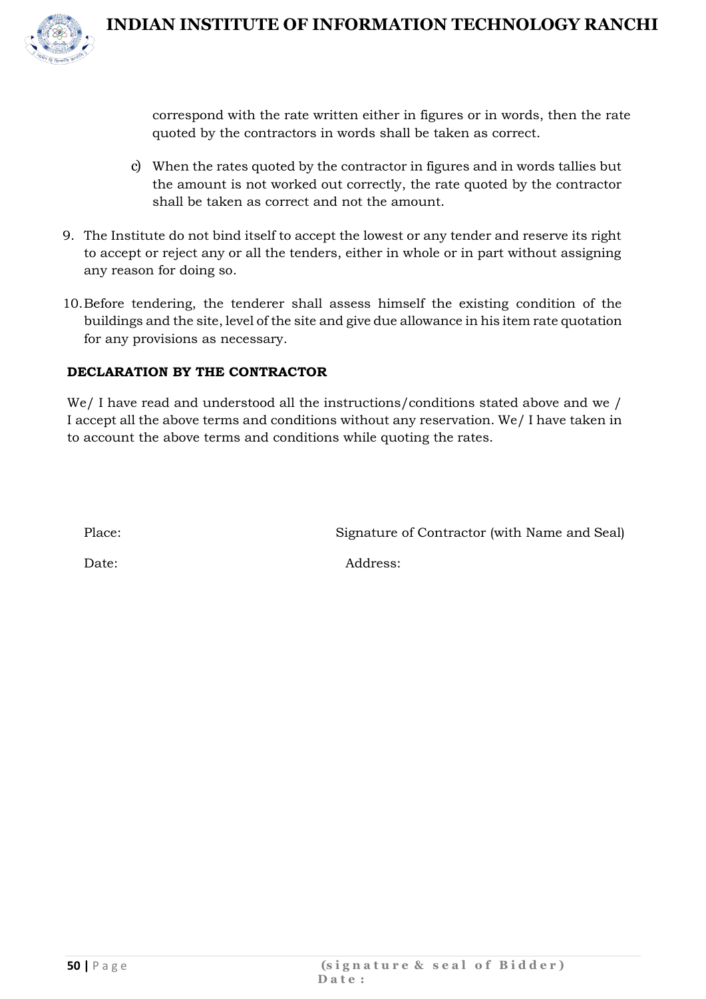

correspond with the rate written either in figures or in words, then the rate quoted by the contractors in words shall be taken as correct.

- c) When the rates quoted by the contractor in figures and in words tallies but the amount is not worked out correctly, the rate quoted by the contractor shall be taken as correct and not the amount.
- 9. The Institute do not bind itself to accept the lowest or any tender and reserve its right to accept or reject any or all the tenders, either in whole or in part without assigning any reason for doing so.
- 10.Before tendering, the tenderer shall assess himself the existing condition of the buildings and the site, level of the site and give due allowance in his item rate quotation for any provisions as necessary.

#### **DECLARATION BY THE CONTRACTOR**

We/ I have read and understood all the instructions/conditions stated above and we / I accept all the above terms and conditions without any reservation. We/ I have taken in to account the above terms and conditions while quoting the rates.

Place: Signature of Contractor (with Name and Seal)

Date: Address: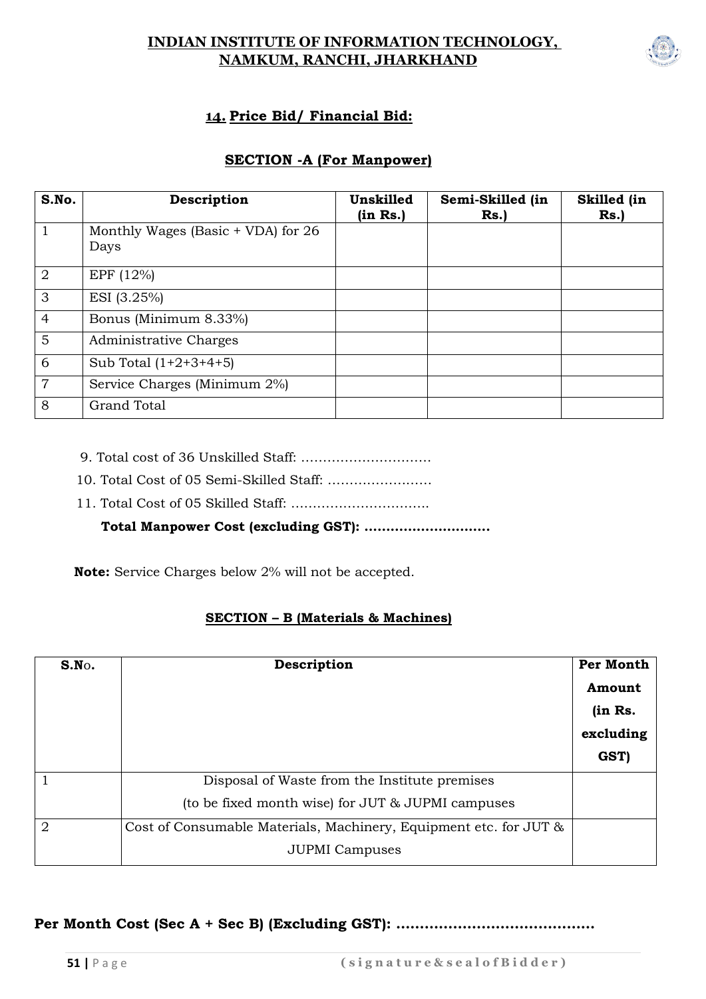#### **INDIAN INSTITUTE OF INFORMATION TECHNOLOGY, NAMKUM, RANCHI, JHARKHAND**



#### **14. Price Bid/ Financial Bid:**

#### **SECTION -A (For Manpower)**

| S.No.          | Description                                  | Unskilled<br>(in Rs.) | Semi-Skilled (in<br>Rs. | Skilled (in<br>Rs. |
|----------------|----------------------------------------------|-----------------------|-------------------------|--------------------|
| $\mathbf{1}$   | Monthly Wages (Basic $+$ VDA) for 26<br>Days |                       |                         |                    |
| $\overline{2}$ | EPF (12%)                                    |                       |                         |                    |
| 3              | ESI (3.25%)                                  |                       |                         |                    |
| $\overline{4}$ | Bonus (Minimum 8.33%)                        |                       |                         |                    |
| 5              | Administrative Charges                       |                       |                         |                    |
| 6              | Sub Total $(1+2+3+4+5)$                      |                       |                         |                    |
| $\overline{7}$ | Service Charges (Minimum 2%)                 |                       |                         |                    |
| 8              | <b>Grand Total</b>                           |                       |                         |                    |

- 9. Total cost of 36 Unskilled Staff: …………………………
- 10. Total Cost of 05 Semi-Skilled Staff: ……………………
- 11. Total Cost of 05 Skilled Staff: …………………………..

#### **Total Manpower Cost (excluding GST): ………………………..**

 **Note:** Service Charges below 2% will not be accepted.

#### **SECTION – B (Materials & Machines)**

| S.N.           | Description                                                       |         |  |  |  |
|----------------|-------------------------------------------------------------------|---------|--|--|--|
|                |                                                                   | Amount  |  |  |  |
|                |                                                                   | (in Rs. |  |  |  |
|                |                                                                   |         |  |  |  |
|                |                                                                   | GST)    |  |  |  |
|                | Disposal of Waste from the Institute premises                     |         |  |  |  |
|                | (to be fixed month wise) for JUT & JUPMI campuses                 |         |  |  |  |
| $\overline{2}$ | Cost of Consumable Materials, Machinery, Equipment etc. for JUT & |         |  |  |  |
|                | <b>JUPMI</b> Campuses                                             |         |  |  |  |

#### **Per Month Cost (Sec A + Sec B) (Excluding GST): ……………………………………**